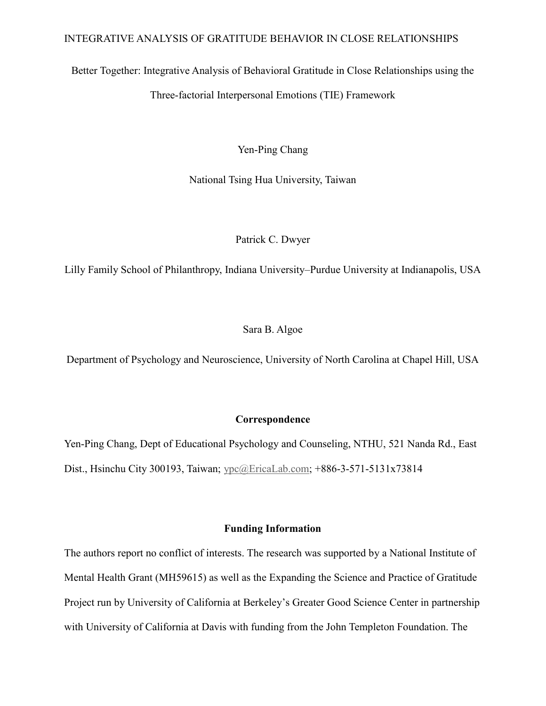Better Together: Integrative Analysis of Behavioral Gratitude in Close Relationships using the Three-factorial Interpersonal Emotions (TIE) Framework

Yen-Ping Chang

National Tsing Hua University, Taiwan

Patrick C. Dwyer

Lilly Family School of Philanthropy, Indiana University–Purdue University at Indianapolis, USA

Sara B. Algoe

Department of Psychology and Neuroscience, University of North Carolina at Chapel Hill, USA

# **Correspondence**

Yen-Ping Chang, Dept of Educational Psychology and Counseling, NTHU, 521 Nanda Rd., East Dist., Hsinchu City 300193, Taiwan; [ypc@EricaLab.com;](mailto:ypc@EricaLab.com) +886-3-571-5131x73814

# **Funding Information**

The authors report no conflict of interests. The research was supported by a National Institute of Mental Health Grant (MH59615) as well as the Expanding the Science and Practice of Gratitude Project run by University of California at Berkeley's Greater Good Science Center in partnership with University of California at Davis with funding from the John Templeton Foundation. The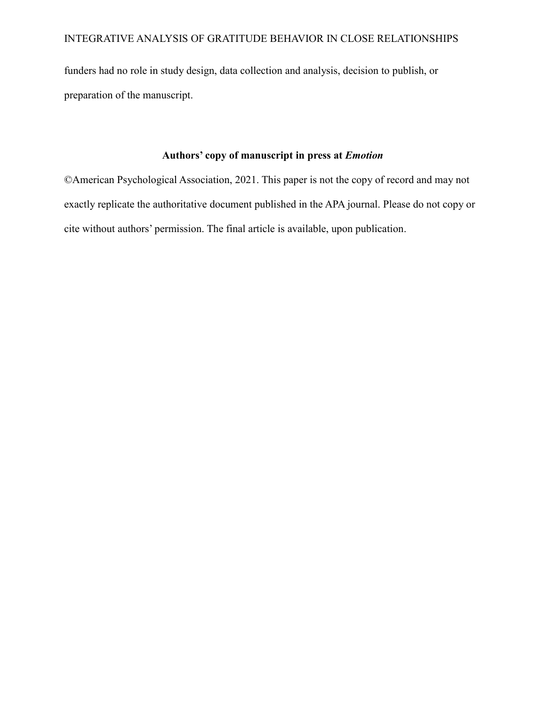funders had no role in study design, data collection and analysis, decision to publish, or preparation of the manuscript.

# **Authors' copy of manuscript in press at** *Emotion*

©American Psychological Association, 2021. This paper is not the copy of record and may not exactly replicate the authoritative document published in the APA journal. Please do not copy or cite without authors' permission. The final article is available, upon publication.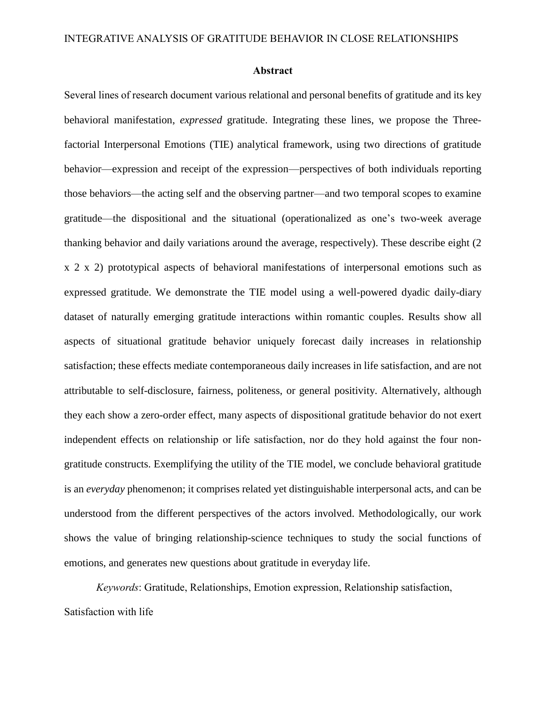#### **Abstract**

Several lines of research document various relational and personal benefits of gratitude and its key behavioral manifestation, *expressed* gratitude. Integrating these lines, we propose the Threefactorial Interpersonal Emotions (TIE) analytical framework, using two directions of gratitude behavior—expression and receipt of the expression—perspectives of both individuals reporting those behaviors—the acting self and the observing partner—and two temporal scopes to examine gratitude—the dispositional and the situational (operationalized as one's two-week average thanking behavior and daily variations around the average, respectively). These describe eight (2 x 2 x 2) prototypical aspects of behavioral manifestations of interpersonal emotions such as expressed gratitude. We demonstrate the TIE model using a well-powered dyadic daily-diary dataset of naturally emerging gratitude interactions within romantic couples. Results show all aspects of situational gratitude behavior uniquely forecast daily increases in relationship satisfaction; these effects mediate contemporaneous daily increases in life satisfaction, and are not attributable to self-disclosure, fairness, politeness, or general positivity. Alternatively, although they each show a zero-order effect, many aspects of dispositional gratitude behavior do not exert independent effects on relationship or life satisfaction, nor do they hold against the four nongratitude constructs. Exemplifying the utility of the TIE model, we conclude behavioral gratitude is an *everyday* phenomenon; it comprises related yet distinguishable interpersonal acts, and can be understood from the different perspectives of the actors involved. Methodologically, our work shows the value of bringing relationship-science techniques to study the social functions of emotions, and generates new questions about gratitude in everyday life.

*Keywords*: Gratitude, Relationships, Emotion expression, Relationship satisfaction, Satisfaction with life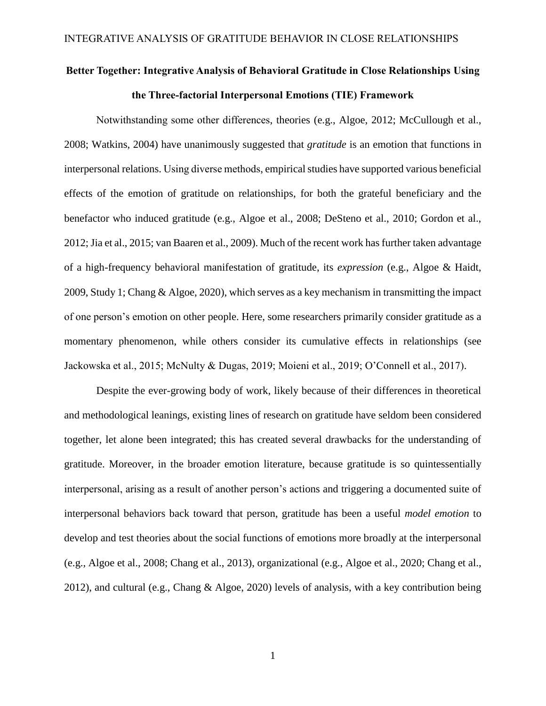# **Better Together: Integrative Analysis of Behavioral Gratitude in Close Relationships Using the Three-factorial Interpersonal Emotions (TIE) Framework**

Notwithstanding some other differences, theories (e.g., Algoe, 2012; McCullough et al., 2008; Watkins, 2004) have unanimously suggested that *gratitude* is an emotion that functions in interpersonal relations. Using diverse methods, empirical studies have supported various beneficial effects of the emotion of gratitude on relationships, for both the grateful beneficiary and the benefactor who induced gratitude (e.g., Algoe et al., 2008; DeSteno et al., 2010; Gordon et al., 2012; Jia et al., 2015; van Baaren et al., 2009). Much of the recent work has further taken advantage of a high-frequency behavioral manifestation of gratitude, its *expression* (e.g., Algoe & Haidt, 2009, Study 1; Chang & Algoe, 2020), which serves as a key mechanism in transmitting the impact of one person's emotion on other people. Here, some researchers primarily consider gratitude as a momentary phenomenon, while others consider its cumulative effects in relationships (see Jackowska et al., 2015; McNulty & Dugas, 2019; Moieni et al., 2019; O'Connell et al., 2017).

Despite the ever-growing body of work, likely because of their differences in theoretical and methodological leanings, existing lines of research on gratitude have seldom been considered together, let alone been integrated; this has created several drawbacks for the understanding of gratitude. Moreover, in the broader emotion literature, because gratitude is so quintessentially interpersonal, arising as a result of another person's actions and triggering a documented suite of interpersonal behaviors back toward that person, gratitude has been a useful *model emotion* to develop and test theories about the social functions of emotions more broadly at the interpersonal (e.g., Algoe et al., 2008; Chang et al., 2013), organizational (e.g., Algoe et al., 2020; Chang et al., 2012), and cultural (e.g., Chang & Algoe, 2020) levels of analysis, with a key contribution being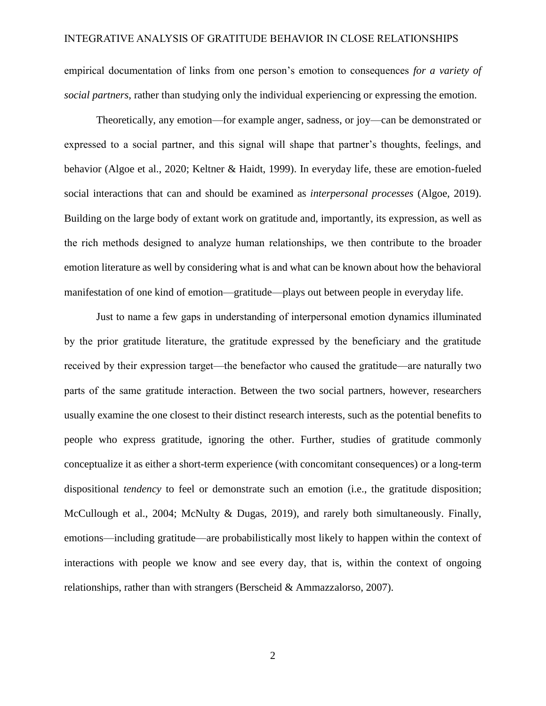empirical documentation of links from one person's emotion to consequences *for a variety of social partners*, rather than studying only the individual experiencing or expressing the emotion.

Theoretically, any emotion—for example anger, sadness, or joy—can be demonstrated or expressed to a social partner, and this signal will shape that partner's thoughts, feelings, and behavior (Algoe et al., 2020; Keltner & Haidt, 1999). In everyday life, these are emotion-fueled social interactions that can and should be examined as *interpersonal processes* (Algoe, 2019). Building on the large body of extant work on gratitude and, importantly, its expression, as well as the rich methods designed to analyze human relationships, we then contribute to the broader emotion literature as well by considering what is and what can be known about how the behavioral manifestation of one kind of emotion—gratitude—plays out between people in everyday life.

Just to name a few gaps in understanding of interpersonal emotion dynamics illuminated by the prior gratitude literature, the gratitude expressed by the beneficiary and the gratitude received by their expression target—the benefactor who caused the gratitude—are naturally two parts of the same gratitude interaction. Between the two social partners, however, researchers usually examine the one closest to their distinct research interests, such as the potential benefits to people who express gratitude, ignoring the other. Further, studies of gratitude commonly conceptualize it as either a short-term experience (with concomitant consequences) or a long-term dispositional *tendency* to feel or demonstrate such an emotion (i.e., the gratitude disposition; McCullough et al., 2004; McNulty & Dugas, 2019), and rarely both simultaneously. Finally, emotions—including gratitude—are probabilistically most likely to happen within the context of interactions with people we know and see every day, that is, within the context of ongoing relationships, rather than with strangers (Berscheid & Ammazzalorso, 2007).

2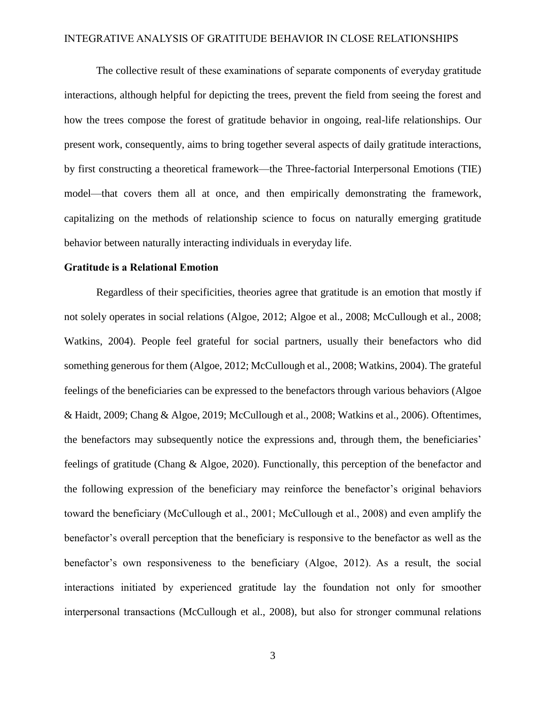The collective result of these examinations of separate components of everyday gratitude interactions, although helpful for depicting the trees, prevent the field from seeing the forest and how the trees compose the forest of gratitude behavior in ongoing, real-life relationships. Our present work, consequently, aims to bring together several aspects of daily gratitude interactions, by first constructing a theoretical framework—the Three-factorial Interpersonal Emotions (TIE) model—that covers them all at once, and then empirically demonstrating the framework, capitalizing on the methods of relationship science to focus on naturally emerging gratitude behavior between naturally interacting individuals in everyday life.

#### **Gratitude is a Relational Emotion**

Regardless of their specificities, theories agree that gratitude is an emotion that mostly if not solely operates in social relations (Algoe, 2012; Algoe et al., 2008; McCullough et al., 2008; Watkins, 2004). People feel grateful for social partners, usually their benefactors who did something generous for them (Algoe, 2012; McCullough et al., 2008; Watkins, 2004). The grateful feelings of the beneficiaries can be expressed to the benefactors through various behaviors (Algoe & Haidt, 2009; Chang & Algoe, 2019; McCullough et al., 2008; Watkins et al., 2006). Oftentimes, the benefactors may subsequently notice the expressions and, through them, the beneficiaries' feelings of gratitude (Chang & Algoe, 2020). Functionally, this perception of the benefactor and the following expression of the beneficiary may reinforce the benefactor's original behaviors toward the beneficiary (McCullough et al., 2001; McCullough et al., 2008) and even amplify the benefactor's overall perception that the beneficiary is responsive to the benefactor as well as the benefactor's own responsiveness to the beneficiary (Algoe, 2012). As a result, the social interactions initiated by experienced gratitude lay the foundation not only for smoother interpersonal transactions (McCullough et al., 2008), but also for stronger communal relations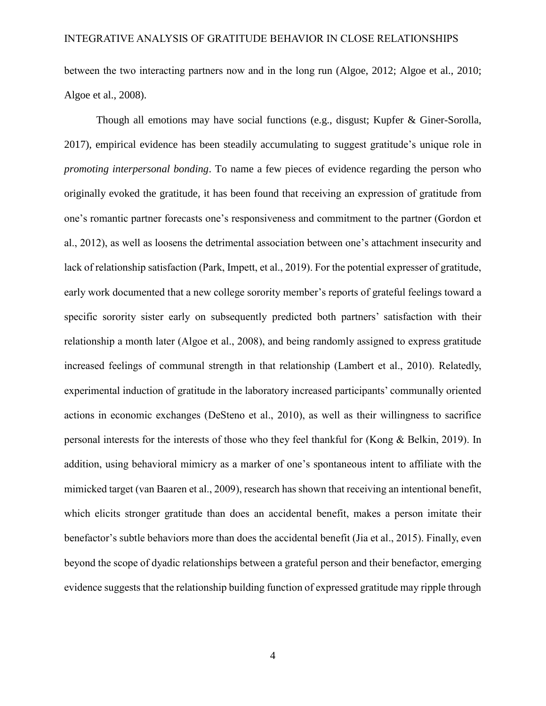between the two interacting partners now and in the long run (Algoe, 2012; Algoe et al., 2010; Algoe et al., 2008).

Though all emotions may have social functions (e.g., disgust; Kupfer & Giner-Sorolla, 2017), empirical evidence has been steadily accumulating to suggest gratitude's unique role in *promoting interpersonal bonding*. To name a few pieces of evidence regarding the person who originally evoked the gratitude, it has been found that receiving an expression of gratitude from one's romantic partner forecasts one's responsiveness and commitment to the partner (Gordon et al., 2012), as well as loosens the detrimental association between one's attachment insecurity and lack of relationship satisfaction (Park, Impett, et al., 2019). For the potential expresser of gratitude, early work documented that a new college sorority member's reports of grateful feelings toward a specific sorority sister early on subsequently predicted both partners' satisfaction with their relationship a month later (Algoe et al., 2008), and being randomly assigned to express gratitude increased feelings of communal strength in that relationship (Lambert et al., 2010). Relatedly, experimental induction of gratitude in the laboratory increased participants' communally oriented actions in economic exchanges (DeSteno et al., 2010), as well as their willingness to sacrifice personal interests for the interests of those who they feel thankful for (Kong & Belkin, 2019). In addition, using behavioral mimicry as a marker of one's spontaneous intent to affiliate with the mimicked target (van Baaren et al., 2009), research has shown that receiving an intentional benefit, which elicits stronger gratitude than does an accidental benefit, makes a person imitate their benefactor's subtle behaviors more than does the accidental benefit (Jia et al., 2015). Finally, even beyond the scope of dyadic relationships between a grateful person and their benefactor, emerging evidence suggests that the relationship building function of expressed gratitude may ripple through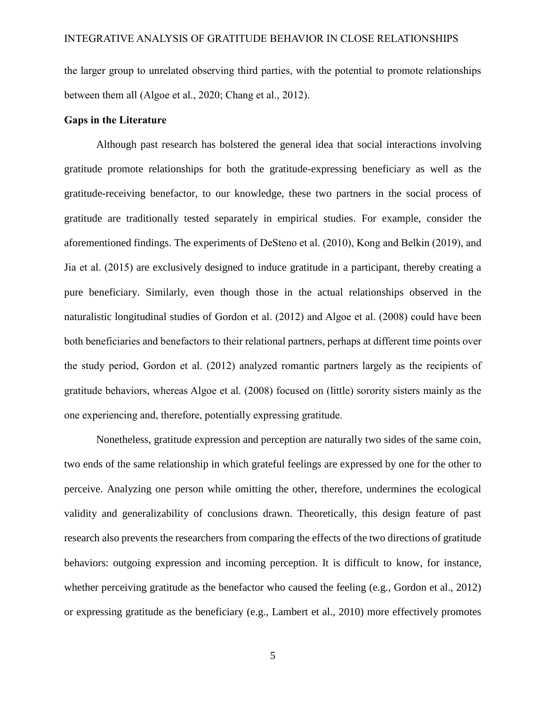the larger group to unrelated observing third parties, with the potential to promote relationships between them all (Algoe et al., 2020; Chang et al., 2012).

# **Gaps in the Literature**

Although past research has bolstered the general idea that social interactions involving gratitude promote relationships for both the gratitude-expressing beneficiary as well as the gratitude-receiving benefactor, to our knowledge, these two partners in the social process of gratitude are traditionally tested separately in empirical studies. For example, consider the aforementioned findings. The experiments of DeSteno et al. (2010), Kong and Belkin (2019), and Jia et al. (2015) are exclusively designed to induce gratitude in a participant, thereby creating a pure beneficiary. Similarly, even though those in the actual relationships observed in the naturalistic longitudinal studies of Gordon et al. (2012) and Algoe et al. (2008) could have been both beneficiaries and benefactors to their relational partners, perhaps at different time points over the study period, Gordon et al. (2012) analyzed romantic partners largely as the recipients of gratitude behaviors, whereas Algoe et al. (2008) focused on (little) sorority sisters mainly as the one experiencing and, therefore, potentially expressing gratitude.

Nonetheless, gratitude expression and perception are naturally two sides of the same coin, two ends of the same relationship in which grateful feelings are expressed by one for the other to perceive. Analyzing one person while omitting the other, therefore, undermines the ecological validity and generalizability of conclusions drawn. Theoretically, this design feature of past research also prevents the researchers from comparing the effects of the two directions of gratitude behaviors: outgoing expression and incoming perception. It is difficult to know, for instance, whether perceiving gratitude as the benefactor who caused the feeling (e.g., Gordon et al., 2012) or expressing gratitude as the beneficiary (e.g., Lambert et al., 2010) more effectively promotes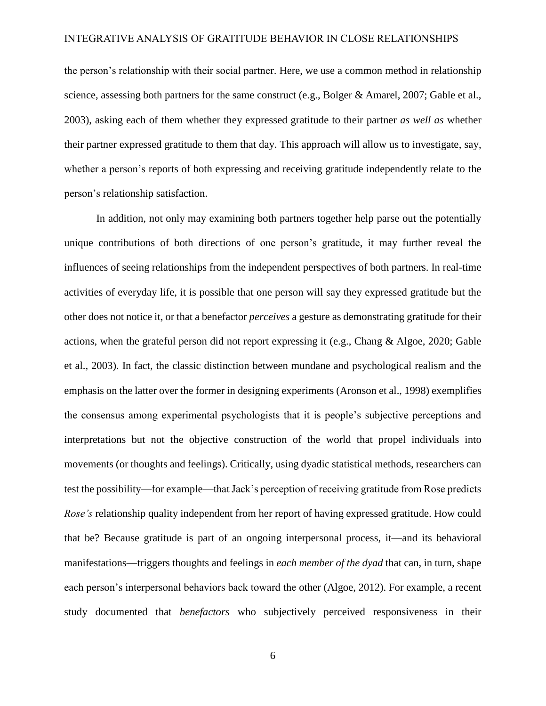the person's relationship with their social partner. Here, we use a common method in relationship science, assessing both partners for the same construct (e.g., Bolger & Amarel, 2007; Gable et al., 2003), asking each of them whether they expressed gratitude to their partner *as well as* whether their partner expressed gratitude to them that day. This approach will allow us to investigate, say, whether a person's reports of both expressing and receiving gratitude independently relate to the person's relationship satisfaction.

In addition, not only may examining both partners together help parse out the potentially unique contributions of both directions of one person's gratitude, it may further reveal the influences of seeing relationships from the independent perspectives of both partners. In real-time activities of everyday life, it is possible that one person will say they expressed gratitude but the other does not notice it, or that a benefactor *perceives* a gesture as demonstrating gratitude for their actions, when the grateful person did not report expressing it (e.g., Chang & Algoe, 2020; Gable et al., 2003). In fact, the classic distinction between mundane and psychological realism and the emphasis on the latter over the former in designing experiments (Aronson et al., 1998) exemplifies the consensus among experimental psychologists that it is people's subjective perceptions and interpretations but not the objective construction of the world that propel individuals into movements (or thoughts and feelings). Critically, using dyadic statistical methods, researchers can test the possibility—for example—that Jack's perception of receiving gratitude from Rose predicts *Rose's* relationship quality independent from her report of having expressed gratitude. How could that be? Because gratitude is part of an ongoing interpersonal process, it—and its behavioral manifestations—triggers thoughts and feelings in *each member of the dyad* that can, in turn, shape each person's interpersonal behaviors back toward the other (Algoe, 2012). For example, a recent study documented that *benefactors* who subjectively perceived responsiveness in their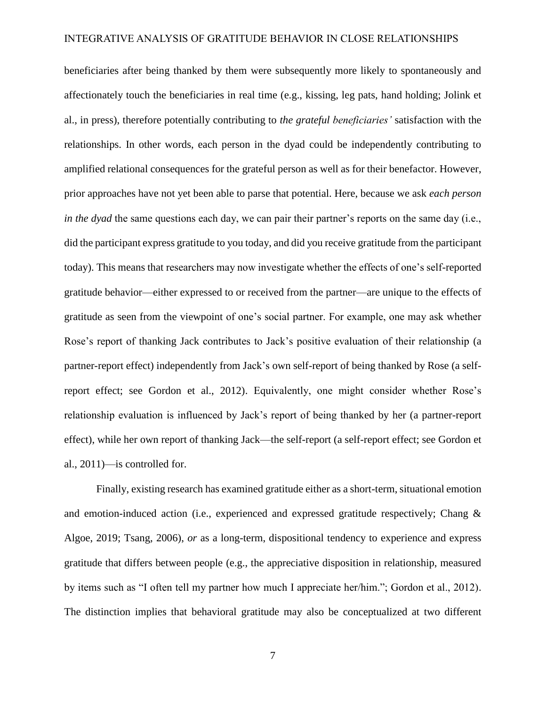beneficiaries after being thanked by them were subsequently more likely to spontaneously and affectionately touch the beneficiaries in real time (e.g., kissing, leg pats, hand holding; Jolink et al., in press), therefore potentially contributing to *the grateful beneficiaries'* satisfaction with the relationships. In other words, each person in the dyad could be independently contributing to amplified relational consequences for the grateful person as well as for their benefactor. However, prior approaches have not yet been able to parse that potential. Here, because we ask *each person in the dyad* the same questions each day, we can pair their partner's reports on the same day (i.e., did the participant express gratitude to you today, and did you receive gratitude from the participant today). This means that researchers may now investigate whether the effects of one's self-reported gratitude behavior—either expressed to or received from the partner—are unique to the effects of gratitude as seen from the viewpoint of one's social partner. For example, one may ask whether Rose's report of thanking Jack contributes to Jack's positive evaluation of their relationship (a partner-report effect) independently from Jack's own self-report of being thanked by Rose (a selfreport effect; see Gordon et al., 2012). Equivalently, one might consider whether Rose's relationship evaluation is influenced by Jack's report of being thanked by her (a partner-report effect), while her own report of thanking Jack—the self-report (a self-report effect; see Gordon et al., 2011)—is controlled for.

Finally, existing research has examined gratitude either as a short-term, situational emotion and emotion-induced action (i.e., experienced and expressed gratitude respectively; Chang & Algoe, 2019; Tsang, 2006), *or* as a long-term, dispositional tendency to experience and express gratitude that differs between people (e.g., the appreciative disposition in relationship, measured by items such as "I often tell my partner how much I appreciate her/him."; Gordon et al., 2012). The distinction implies that behavioral gratitude may also be conceptualized at two different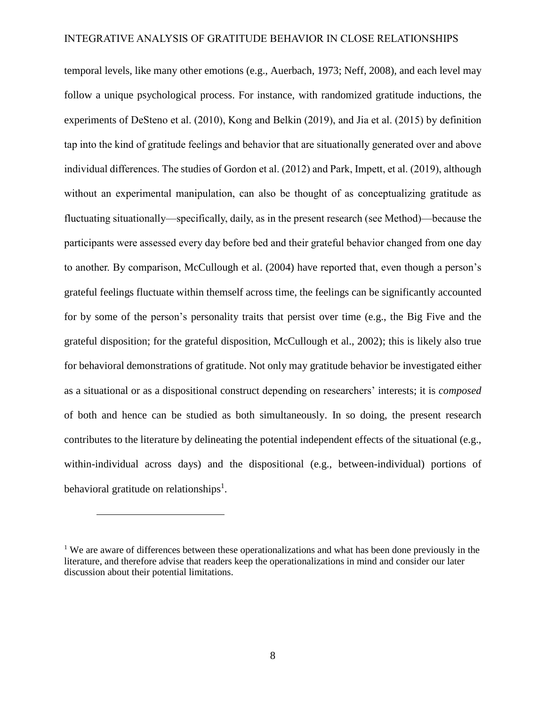temporal levels, like many other emotions (e.g., Auerbach, 1973; Neff, 2008), and each level may follow a unique psychological process. For instance, with randomized gratitude inductions, the experiments of DeSteno et al. (2010), Kong and Belkin (2019), and Jia et al. (2015) by definition tap into the kind of gratitude feelings and behavior that are situationally generated over and above individual differences. The studies of Gordon et al. (2012) and Park, Impett, et al. (2019), although without an experimental manipulation, can also be thought of as conceptualizing gratitude as fluctuating situationally—specifically, daily, as in the present research (see Method)—because the participants were assessed every day before bed and their grateful behavior changed from one day to another. By comparison, McCullough et al. (2004) have reported that, even though a person's grateful feelings fluctuate within themself across time, the feelings can be significantly accounted for by some of the person's personality traits that persist over time (e.g., the Big Five and the grateful disposition; for the grateful disposition, McCullough et al., 2002); this is likely also true for behavioral demonstrations of gratitude. Not only may gratitude behavior be investigated either as a situational or as a dispositional construct depending on researchers' interests; it is *composed* of both and hence can be studied as both simultaneously. In so doing, the present research contributes to the literature by delineating the potential independent effects of the situational (e.g., within-individual across days) and the dispositional (e.g., between-individual) portions of behavioral gratitude on relationships<sup>1</sup>.

 $\overline{a}$ 

<sup>&</sup>lt;sup>1</sup> We are aware of differences between these operationalizations and what has been done previously in the literature, and therefore advise that readers keep the operationalizations in mind and consider our later discussion about their potential limitations.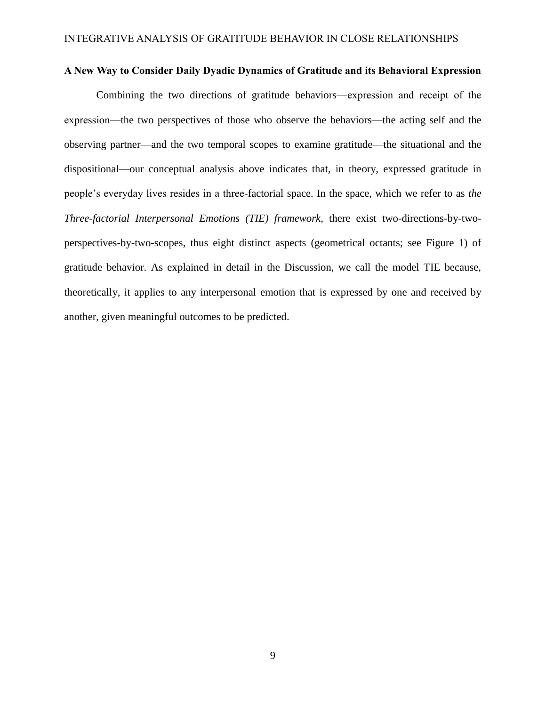# **A New Way to Consider Daily Dyadic Dynamics of Gratitude and its Behavioral Expression**

Combining the two directions of gratitude behaviors—expression and receipt of the expression—the two perspectives of those who observe the behaviors—the acting self and the observing partner—and the two temporal scopes to examine gratitude—the situational and the dispositional—our conceptual analysis above indicates that, in theory, expressed gratitude in people's everyday lives resides in a three-factorial space. In the space, which we refer to as *the Three-factorial Interpersonal Emotions (TIE) framework*, there exist two-directions-by-twoperspectives-by-two-scopes, thus eight distinct aspects (geometrical octants; see Figure 1) of gratitude behavior. As explained in detail in the Discussion, we call the model TIE because, theoretically, it applies to any interpersonal emotion that is expressed by one and received by another, given meaningful outcomes to be predicted.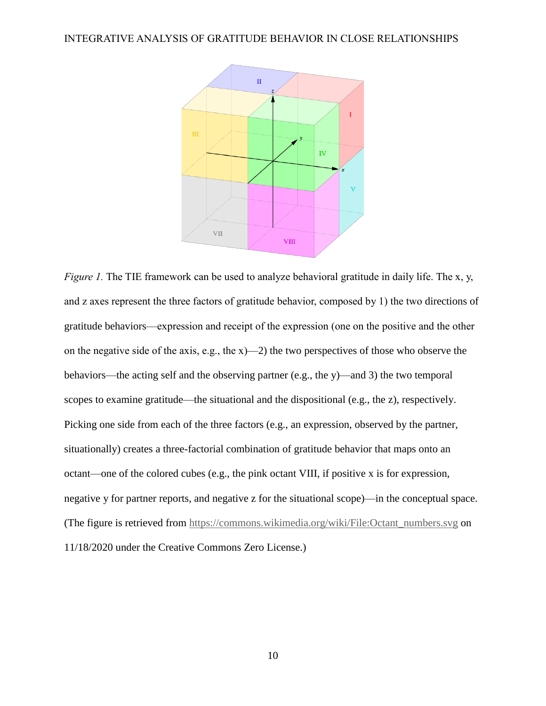

*Figure 1.* The TIE framework can be used to analyze behavioral gratitude in daily life. The x, y, and z axes represent the three factors of gratitude behavior, composed by 1) the two directions of gratitude behaviors—expression and receipt of the expression (one on the positive and the other on the negative side of the axis, e.g., the  $x$ )—2) the two perspectives of those who observe the behaviors—the acting self and the observing partner (e.g., the y)—and 3) the two temporal scopes to examine gratitude—the situational and the dispositional (e.g., the z), respectively. Picking one side from each of the three factors (e.g., an expression, observed by the partner, situationally) creates a three-factorial combination of gratitude behavior that maps onto an octant—one of the colored cubes (e.g., the pink octant VIII, if positive x is for expression, negative y for partner reports, and negative z for the situational scope)—in the conceptual space. (The figure is retrieved from [https://commons.wikimedia.org/wiki/File:Octant\\_numbers.svg](https://commons.wikimedia.org/wiki/File:Octant_numbers.svg) on 11/18/2020 under the Creative Commons Zero License.)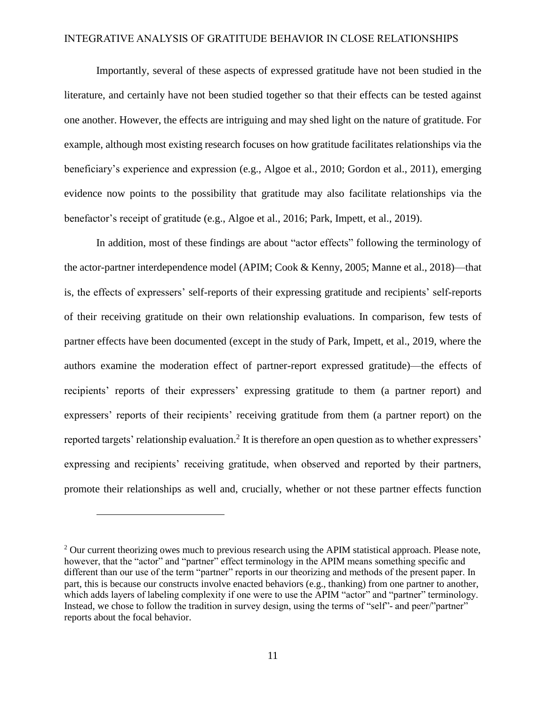Importantly, several of these aspects of expressed gratitude have not been studied in the literature, and certainly have not been studied together so that their effects can be tested against one another. However, the effects are intriguing and may shed light on the nature of gratitude. For example, although most existing research focuses on how gratitude facilitates relationships via the beneficiary's experience and expression (e.g., Algoe et al., 2010; Gordon et al., 2011), emerging evidence now points to the possibility that gratitude may also facilitate relationships via the benefactor's receipt of gratitude (e.g., Algoe et al., 2016; Park, Impett, et al., 2019).

In addition, most of these findings are about "actor effects" following the terminology of the actor-partner interdependence model (APIM; Cook & Kenny, 2005; Manne et al., 2018)—that is, the effects of expressers' self-reports of their expressing gratitude and recipients' self-reports of their receiving gratitude on their own relationship evaluations. In comparison, few tests of partner effects have been documented (except in the study of Park, Impett, et al., 2019, where the authors examine the moderation effect of partner-report expressed gratitude)—the effects of recipients' reports of their expressers' expressing gratitude to them (a partner report) and expressers' reports of their recipients' receiving gratitude from them (a partner report) on the reported targets' relationship evaluation.<sup>2</sup> It is therefore an open question as to whether expressers' expressing and recipients' receiving gratitude, when observed and reported by their partners, promote their relationships as well and, crucially, whether or not these partner effects function

 $\overline{a}$ 

 $2$  Our current theorizing owes much to previous research using the APIM statistical approach. Please note, however, that the "actor" and "partner" effect terminology in the APIM means something specific and different than our use of the term "partner" reports in our theorizing and methods of the present paper. In part, this is because our constructs involve enacted behaviors (e.g., thanking) from one partner to another, which adds layers of labeling complexity if one were to use the APIM "actor" and "partner" terminology. Instead, we chose to follow the tradition in survey design, using the terms of "self"- and peer/"partner" reports about the focal behavior.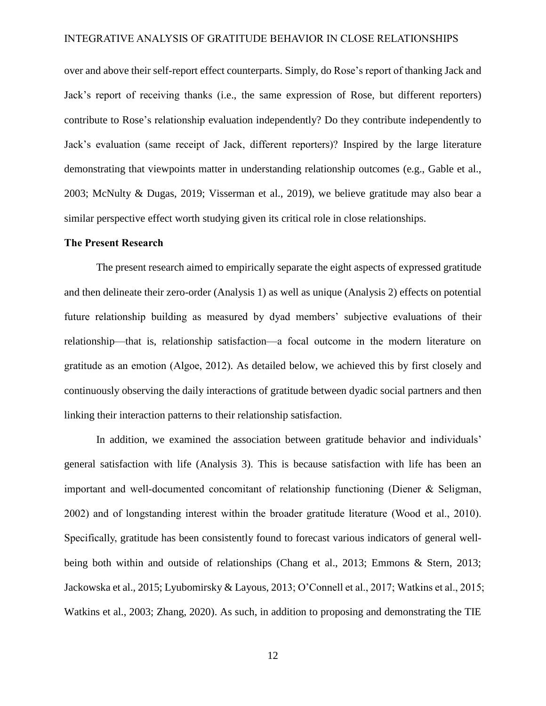over and above their self-report effect counterparts. Simply, do Rose's report of thanking Jack and Jack's report of receiving thanks (i.e., the same expression of Rose, but different reporters) contribute to Rose's relationship evaluation independently? Do they contribute independently to Jack's evaluation (same receipt of Jack, different reporters)? Inspired by the large literature demonstrating that viewpoints matter in understanding relationship outcomes (e.g., Gable et al., 2003; McNulty & Dugas, 2019; Visserman et al., 2019), we believe gratitude may also bear a similar perspective effect worth studying given its critical role in close relationships.

#### **The Present Research**

The present research aimed to empirically separate the eight aspects of expressed gratitude and then delineate their zero-order (Analysis 1) as well as unique (Analysis 2) effects on potential future relationship building as measured by dyad members' subjective evaluations of their relationship—that is, relationship satisfaction—a focal outcome in the modern literature on gratitude as an emotion (Algoe, 2012). As detailed below, we achieved this by first closely and continuously observing the daily interactions of gratitude between dyadic social partners and then linking their interaction patterns to their relationship satisfaction.

In addition, we examined the association between gratitude behavior and individuals' general satisfaction with life (Analysis 3). This is because satisfaction with life has been an important and well-documented concomitant of relationship functioning (Diener & Seligman, 2002) and of longstanding interest within the broader gratitude literature (Wood et al., 2010). Specifically, gratitude has been consistently found to forecast various indicators of general wellbeing both within and outside of relationships (Chang et al., 2013; Emmons & Stern, 2013; Jackowska et al., 2015; Lyubomirsky & Layous, 2013; O'Connell et al., 2017; Watkins et al., 2015; Watkins et al., 2003; Zhang, 2020). As such, in addition to proposing and demonstrating the TIE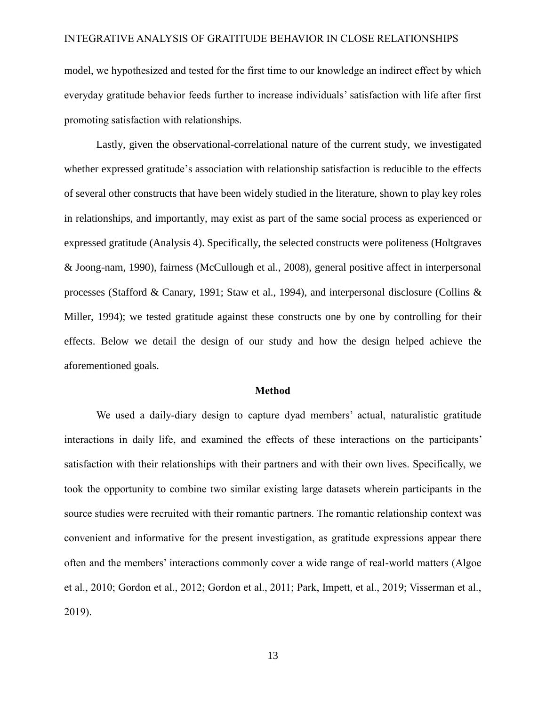model, we hypothesized and tested for the first time to our knowledge an indirect effect by which everyday gratitude behavior feeds further to increase individuals' satisfaction with life after first promoting satisfaction with relationships.

Lastly, given the observational-correlational nature of the current study, we investigated whether expressed gratitude's association with relationship satisfaction is reducible to the effects of several other constructs that have been widely studied in the literature, shown to play key roles in relationships, and importantly, may exist as part of the same social process as experienced or expressed gratitude (Analysis 4). Specifically, the selected constructs were politeness (Holtgraves & Joong-nam, 1990), fairness (McCullough et al., 2008), general positive affect in interpersonal processes (Stafford & Canary, 1991; Staw et al., 1994), and interpersonal disclosure (Collins & Miller, 1994); we tested gratitude against these constructs one by one by controlling for their effects. Below we detail the design of our study and how the design helped achieve the aforementioned goals.

#### **Method**

We used a daily-diary design to capture dyad members' actual, naturalistic gratitude interactions in daily life, and examined the effects of these interactions on the participants' satisfaction with their relationships with their partners and with their own lives. Specifically, we took the opportunity to combine two similar existing large datasets wherein participants in the source studies were recruited with their romantic partners. The romantic relationship context was convenient and informative for the present investigation, as gratitude expressions appear there often and the members' interactions commonly cover a wide range of real-world matters (Algoe et al., 2010; Gordon et al., 2012; Gordon et al., 2011; Park, Impett, et al., 2019; Visserman et al., 2019).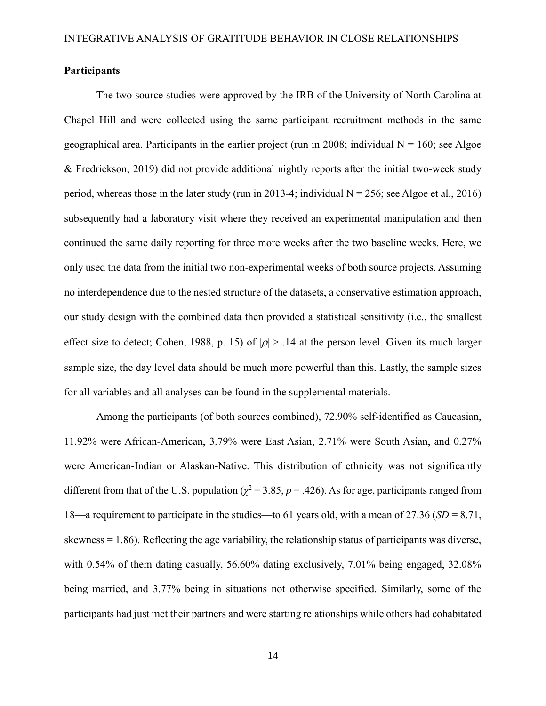# **Participants**

The two source studies were approved by the IRB of the University of North Carolina at Chapel Hill and were collected using the same participant recruitment methods in the same geographical area. Participants in the earlier project (run in 2008; individual  $N = 160$ ; see Algoe & Fredrickson, 2019) did not provide additional nightly reports after the initial two-week study period, whereas those in the later study (run in 2013-4; individual  $N = 256$ ; see Algoe et al., 2016) subsequently had a laboratory visit where they received an experimental manipulation and then continued the same daily reporting for three more weeks after the two baseline weeks. Here, we only used the data from the initial two non-experimental weeks of both source projects. Assuming no interdependence due to the nested structure of the datasets, a conservative estimation approach, our study design with the combined data then provided a statistical sensitivity (i.e., the smallest effect size to detect; Cohen, 1988, p. 15) of  $|\rho| > 0.14$  at the person level. Given its much larger sample size, the day level data should be much more powerful than this. Lastly, the sample sizes for all variables and all analyses can be found in the supplemental materials.

Among the participants (of both sources combined), 72.90% self-identified as Caucasian, 11.92% were African-American, 3.79% were East Asian, 2.71% were South Asian, and 0.27% were American-Indian or Alaskan-Native. This distribution of ethnicity was not significantly different from that of the U.S. population ( $\chi^2$  = 3.85, *p* = .426). As for age, participants ranged from 18—a requirement to participate in the studies—to 61 years old, with a mean of 27.36 (*SD* = 8.71, skewness = 1.86). Reflecting the age variability, the relationship status of participants was diverse, with 0.54% of them dating casually, 56.60% dating exclusively, 7.01% being engaged, 32.08% being married, and 3.77% being in situations not otherwise specified. Similarly, some of the participants had just met their partners and were starting relationships while others had cohabitated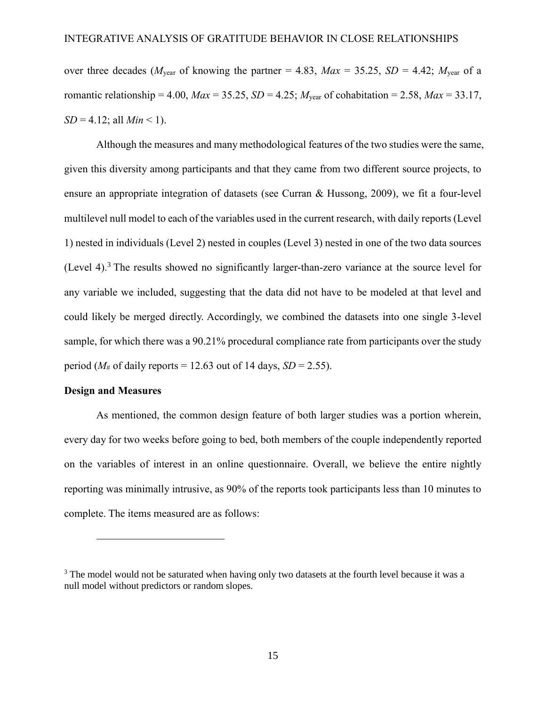over three decades ( $M_{\text{year}}$  of knowing the partner = 4.83,  $Max = 35.25$ ,  $SD = 4.42$ ;  $M_{\text{year}}$  of a romantic relationship = 4.00,  $Max = 35.25$ ,  $SD = 4.25$ ;  $M_{year}$  of cohabitation = 2.58,  $Max = 33.17$ ,  $SD = 4.12$ ; all *Min* < 1).

Although the measures and many methodological features of the two studies were the same, given this diversity among participants and that they came from two different source projects, to ensure an appropriate integration of datasets (see Curran & Hussong, 2009), we fit a four-level multilevel null model to each of the variables used in the current research, with daily reports (Level 1) nested in individuals (Level 2) nested in couples (Level 3) nested in one of the two data sources (Level 4).<sup>3</sup> The results showed no significantly larger-than-zero variance at the source level for any variable we included, suggesting that the data did not have to be modeled at that level and could likely be merged directly. Accordingly, we combined the datasets into one single 3-level sample, for which there was a 90.21% procedural compliance rate from participants over the study period ( $M_{\text{H}}$  of daily reports = 12.63 out of 14 days, *SD* = 2.55).

#### **Design and Measures**

 $\overline{a}$ 

As mentioned, the common design feature of both larger studies was a portion wherein, every day for two weeks before going to bed, both members of the couple independently reported on the variables of interest in an online questionnaire. Overall, we believe the entire nightly reporting was minimally intrusive, as 90% of the reports took participants less than 10 minutes to complete. The items measured are as follows:

<sup>&</sup>lt;sup>3</sup> The model would not be saturated when having only two datasets at the fourth level because it was a null model without predictors or random slopes.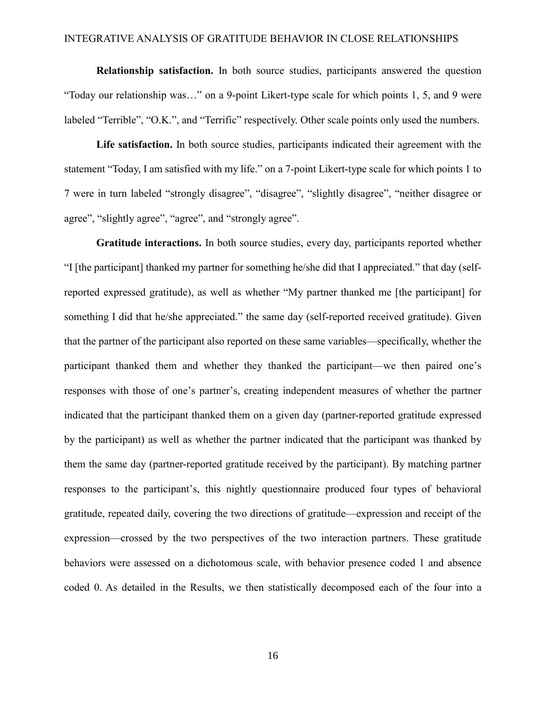**Relationship satisfaction.** In both source studies, participants answered the question "Today our relationship was…" on a 9-point Likert-type scale for which points 1, 5, and 9 were labeled "Terrible", "O.K.", and "Terrific" respectively. Other scale points only used the numbers.

**Life satisfaction.** In both source studies, participants indicated their agreement with the statement "Today, I am satisfied with my life." on a 7-point Likert-type scale for which points 1 to 7 were in turn labeled "strongly disagree", "disagree", "slightly disagree", "neither disagree or agree", "slightly agree", "agree", and "strongly agree".

**Gratitude interactions.** In both source studies, every day, participants reported whether "I [the participant] thanked my partner for something he/she did that I appreciated." that day (selfreported expressed gratitude), as well as whether "My partner thanked me [the participant] for something I did that he/she appreciated." the same day (self-reported received gratitude). Given that the partner of the participant also reported on these same variables—specifically, whether the participant thanked them and whether they thanked the participant—we then paired one's responses with those of one's partner's, creating independent measures of whether the partner indicated that the participant thanked them on a given day (partner-reported gratitude expressed by the participant) as well as whether the partner indicated that the participant was thanked by them the same day (partner-reported gratitude received by the participant). By matching partner responses to the participant's, this nightly questionnaire produced four types of behavioral gratitude, repeated daily, covering the two directions of gratitude—expression and receipt of the expression—crossed by the two perspectives of the two interaction partners. These gratitude behaviors were assessed on a dichotomous scale, with behavior presence coded 1 and absence coded 0. As detailed in the Results, we then statistically decomposed each of the four into a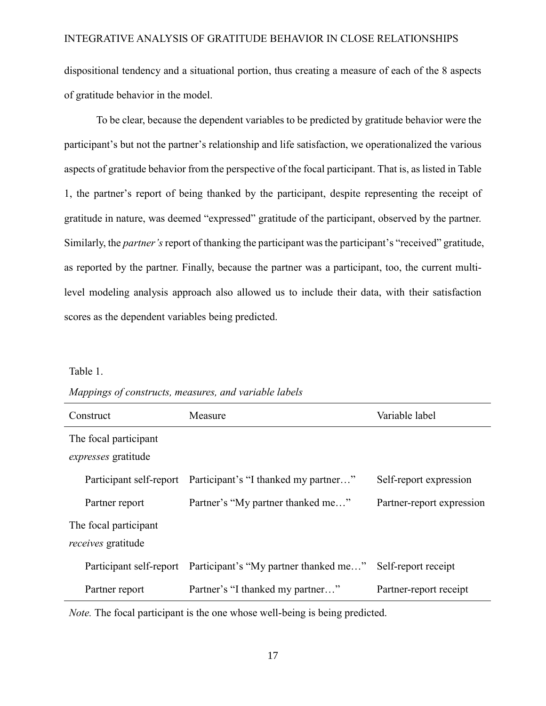dispositional tendency and a situational portion, thus creating a measure of each of the 8 aspects of gratitude behavior in the model.

To be clear, because the dependent variables to be predicted by gratitude behavior were the participant's but not the partner's relationship and life satisfaction, we operationalized the various aspects of gratitude behavior from the perspective of the focal participant. That is, as listed in Table 1, the partner's report of being thanked by the participant, despite representing the receipt of gratitude in nature, was deemed "expressed" gratitude of the participant, observed by the partner. Similarly, the *partner's* report of thanking the participant was the participant's "received" gratitude, as reported by the partner. Finally, because the partner was a participant, too, the current multilevel modeling analysis approach also allowed us to include their data, with their satisfaction scores as the dependent variables being predicted.

#### Table 1.

| Mappings of constructs, measures, and variable labels |  |  |
|-------------------------------------------------------|--|--|
|                                                       |  |  |

| Construct                                           | Measure                                                       | Variable label            |  |  |  |
|-----------------------------------------------------|---------------------------------------------------------------|---------------------------|--|--|--|
| The focal participant<br><i>expresses</i> gratitude |                                                               |                           |  |  |  |
|                                                     | Participant self-report Participant's "I thanked my partner"  | Self-report expression    |  |  |  |
| Partner report                                      | Partner's "My partner thanked me"                             | Partner-report expression |  |  |  |
| The focal participant<br><i>receives</i> gratitude  |                                                               |                           |  |  |  |
|                                                     | Participant self-report Participant's "My partner thanked me" | Self-report receipt       |  |  |  |
| Partner report                                      | Partner's "I thanked my partner"                              | Partner-report receipt    |  |  |  |

*Note.* The focal participant is the one whose well-being is being predicted.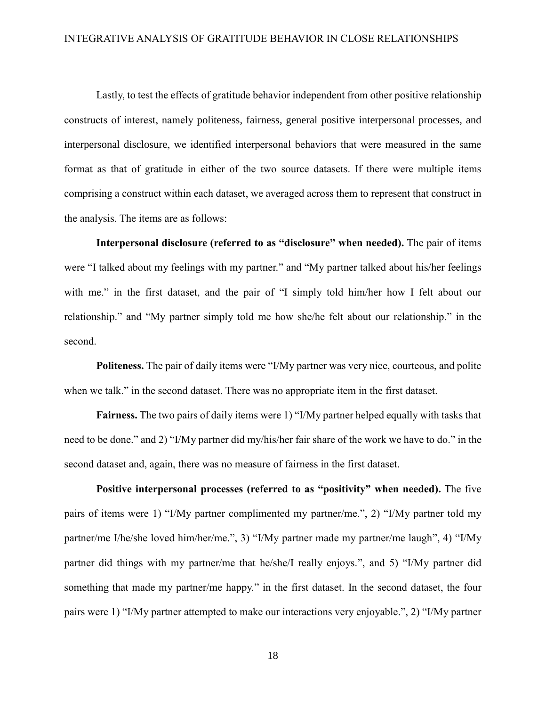Lastly, to test the effects of gratitude behavior independent from other positive relationship constructs of interest, namely politeness, fairness, general positive interpersonal processes, and interpersonal disclosure, we identified interpersonal behaviors that were measured in the same format as that of gratitude in either of the two source datasets. If there were multiple items comprising a construct within each dataset, we averaged across them to represent that construct in the analysis. The items are as follows:

**Interpersonal disclosure (referred to as "disclosure" when needed).** The pair of items were "I talked about my feelings with my partner." and "My partner talked about his/her feelings with me." in the first dataset, and the pair of "I simply told him/her how I felt about our relationship." and "My partner simply told me how she/he felt about our relationship." in the second.

**Politeness.** The pair of daily items were "I/My partner was very nice, courteous, and polite when we talk." in the second dataset. There was no appropriate item in the first dataset.

**Fairness.** The two pairs of daily items were 1) "I/My partner helped equally with tasks that need to be done." and 2) "I/My partner did my/his/her fair share of the work we have to do." in the second dataset and, again, there was no measure of fairness in the first dataset.

**Positive interpersonal processes (referred to as "positivity" when needed).** The five pairs of items were 1) "I/My partner complimented my partner/me.", 2) "I/My partner told my partner/me I/he/she loved him/her/me.", 3) "I/My partner made my partner/me laugh", 4) "I/My partner did things with my partner/me that he/she/I really enjoys.", and 5) "I/My partner did something that made my partner/me happy." in the first dataset. In the second dataset, the four pairs were 1) "I/My partner attempted to make our interactions very enjoyable.", 2) "I/My partner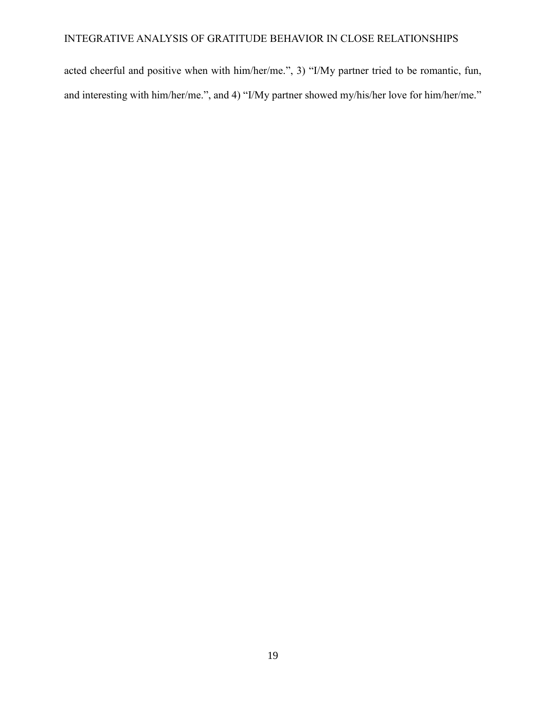acted cheerful and positive when with him/her/me.", 3) "I/My partner tried to be romantic, fun, and interesting with him/her/me.", and 4) "I/My partner showed my/his/her love for him/her/me."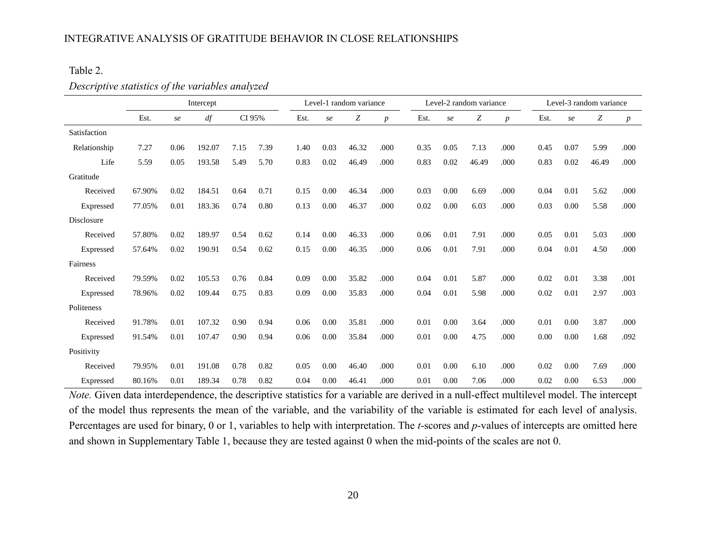# Table 2.

# *Descriptive statistics of the variables analyzed*

|              | Intercept |      |        |        | Level-1 random variance |      |      | Level-2 random variance |                  |      |      |       | Level-3 random variance |      |      |       |                  |
|--------------|-----------|------|--------|--------|-------------------------|------|------|-------------------------|------------------|------|------|-------|-------------------------|------|------|-------|------------------|
|              | Est.      | se   | df     | CI 95% |                         | Est. | se   | Ζ                       | $\boldsymbol{p}$ | Est. | se   | Ζ     | $\boldsymbol{p}$        | Est. | se   | Ζ     | $\boldsymbol{p}$ |
| Satisfaction |           |      |        |        |                         |      |      |                         |                  |      |      |       |                         |      |      |       |                  |
| Relationship | 7.27      | 0.06 | 192.07 | 7.15   | 7.39                    | 1.40 | 0.03 | 46.32                   | .000             | 0.35 | 0.05 | 7.13  | .000                    | 0.45 | 0.07 | 5.99  | .000             |
| Life         | 5.59      | 0.05 | 193.58 | 5.49   | 5.70                    | 0.83 | 0.02 | 46.49                   | .000             | 0.83 | 0.02 | 46.49 | .000                    | 0.83 | 0.02 | 46.49 | .000             |
| Gratitude    |           |      |        |        |                         |      |      |                         |                  |      |      |       |                         |      |      |       |                  |
| Received     | 67.90%    | 0.02 | 184.51 | 0.64   | 0.71                    | 0.15 | 0.00 | 46.34                   | .000             | 0.03 | 0.00 | 6.69  | .000                    | 0.04 | 0.01 | 5.62  | .000             |
| Expressed    | 77.05%    | 0.01 | 183.36 | 0.74   | 0.80                    | 0.13 | 0.00 | 46.37                   | .000             | 0.02 | 0.00 | 6.03  | .000                    | 0.03 | 0.00 | 5.58  | .000             |
| Disclosure   |           |      |        |        |                         |      |      |                         |                  |      |      |       |                         |      |      |       |                  |
| Received     | 57.80%    | 0.02 | 189.97 | 0.54   | 0.62                    | 0.14 | 0.00 | 46.33                   | .000             | 0.06 | 0.01 | 7.91  | .000                    | 0.05 | 0.01 | 5.03  | .000             |
| Expressed    | 57.64%    | 0.02 | 190.91 | 0.54   | 0.62                    | 0.15 | 0.00 | 46.35                   | .000             | 0.06 | 0.01 | 7.91  | .000                    | 0.04 | 0.01 | 4.50  | .000             |
| Fairness     |           |      |        |        |                         |      |      |                         |                  |      |      |       |                         |      |      |       |                  |
| Received     | 79.59%    | 0.02 | 105.53 | 0.76   | 0.84                    | 0.09 | 0.00 | 35.82                   | .000             | 0.04 | 0.01 | 5.87  | .000                    | 0.02 | 0.01 | 3.38  | .001             |
| Expressed    | 78.96%    | 0.02 | 109.44 | 0.75   | 0.83                    | 0.09 | 0.00 | 35.83                   | .000             | 0.04 | 0.01 | 5.98  | .000                    | 0.02 | 0.01 | 2.97  | .003             |
| Politeness   |           |      |        |        |                         |      |      |                         |                  |      |      |       |                         |      |      |       |                  |
| Received     | 91.78%    | 0.01 | 107.32 | 0.90   | 0.94                    | 0.06 | 0.00 | 35.81                   | .000             | 0.01 | 0.00 | 3.64  | .000                    | 0.01 | 0.00 | 3.87  | .000             |
| Expressed    | 91.54%    | 0.01 | 107.47 | 0.90   | 0.94                    | 0.06 | 0.00 | 35.84                   | .000             | 0.01 | 0.00 | 4.75  | .000                    | 0.00 | 0.00 | 1.68  | .092             |
| Positivity   |           |      |        |        |                         |      |      |                         |                  |      |      |       |                         |      |      |       |                  |
| Received     | 79.95%    | 0.01 | 191.08 | 0.78   | 0.82                    | 0.05 | 0.00 | 46.40                   | .000             | 0.01 | 0.00 | 6.10  | .000                    | 0.02 | 0.00 | 7.69  | .000             |
| Expressed    | 80.16%    | 0.01 | 189.34 | 0.78   | 0.82                    | 0.04 | 0.00 | 46.41                   | .000             | 0.01 | 0.00 | 7.06  | .000                    | 0.02 | 0.00 | 6.53  | .000             |

*Note.* Given data interdependence, the descriptive statistics for a variable are derived in a null-effect multilevel model. The intercept of the model thus represents the mean of the variable, and the variability of the variable is estimated for each level of analysis. Percentages are used for binary, 0 or 1, variables to help with interpretation. The *t*-scores and *p*-values of intercepts are omitted here and shown in Supplementary Table 1, because they are tested against 0 when the mid-points of the scales are not 0.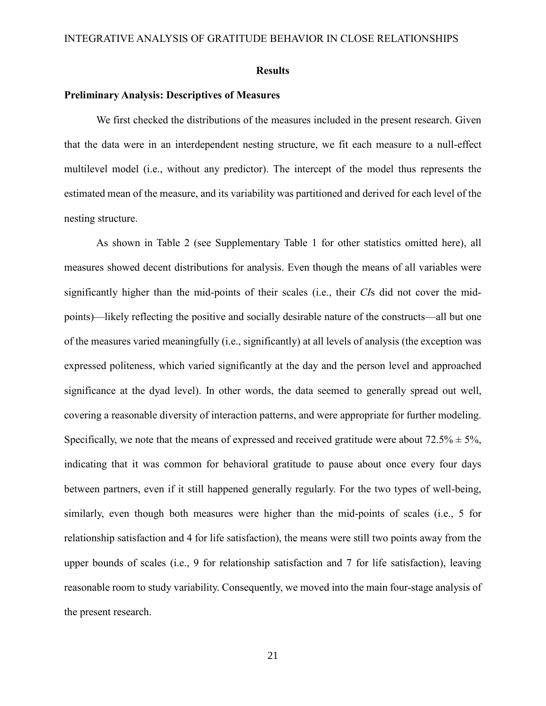#### **Results**

#### **Preliminary Analysis: Descriptives of Measures**

We first checked the distributions of the measures included in the present research. Given that the data were in an interdependent nesting structure, we fit each measure to a null-effect multilevel model (i.e., without any predictor). The intercept of the model thus represents the estimated mean of the measure, and its variability was partitioned and derived for each level of the nesting structure.

As shown in Table 2 (see Supplementary Table 1 for other statistics omitted here), all measures showed decent distributions for analysis. Even though the means of all variables were significantly higher than the mid-points of their scales (i.e., their *CI*s did not cover the midpoints)—likely reflecting the positive and socially desirable nature of the constructs—all but one of the measures varied meaningfully (i.e., significantly) at all levels of analysis (the exception was expressed politeness, which varied significantly at the day and the person level and approached significance at the dyad level). In other words, the data seemed to generally spread out well, covering a reasonable diversity of interaction patterns, and were appropriate for further modeling. Specifically, we note that the means of expressed and received gratitude were about  $72.5\% \pm 5\%$ , indicating that it was common for behavioral gratitude to pause about once every four days between partners, even if it still happened generally regularly. For the two types of well-being, similarly, even though both measures were higher than the mid-points of scales (i.e., 5 for relationship satisfaction and 4 for life satisfaction), the means were still two points away from the upper bounds of scales (i.e., 9 for relationship satisfaction and 7 for life satisfaction), leaving reasonable room to study variability. Consequently, we moved into the main four-stage analysis of the present research.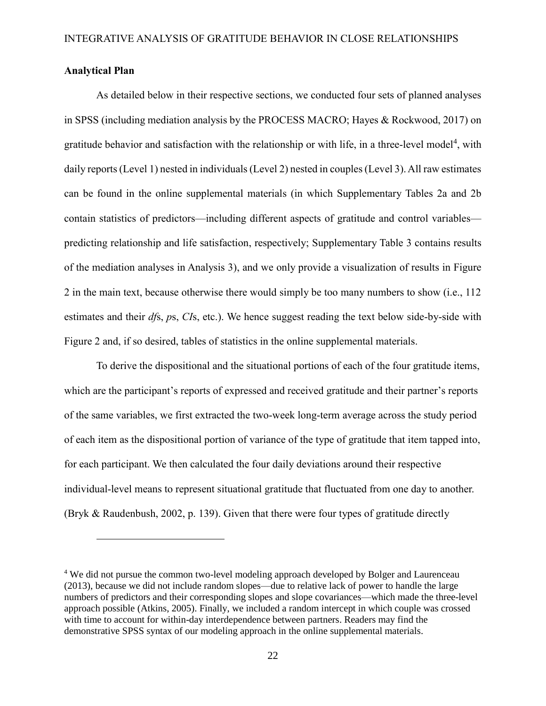# **Analytical Plan**

 $\overline{a}$ 

As detailed below in their respective sections, we conducted four sets of planned analyses in SPSS (including mediation analysis by the PROCESS MACRO; Hayes & Rockwood, 2017) on gratitude behavior and satisfaction with the relationship or with life, in a three-level model<sup>4</sup>, with daily reports (Level 1) nested in individuals (Level 2) nested in couples (Level 3). All raw estimates can be found in the online supplemental materials (in which Supplementary Tables 2a and 2b contain statistics of predictors—including different aspects of gratitude and control variables predicting relationship and life satisfaction, respectively; Supplementary Table 3 contains results of the mediation analyses in Analysis 3), and we only provide a visualization of results in Figure 2 in the main text, because otherwise there would simply be too many numbers to show (i.e., 112 estimates and their *df*s, *p*s, *CI*s, etc.). We hence suggest reading the text below side-by-side with Figure 2 and, if so desired, tables of statistics in the online supplemental materials.

To derive the dispositional and the situational portions of each of the four gratitude items, which are the participant's reports of expressed and received gratitude and their partner's reports of the same variables, we first extracted the two-week long-term average across the study period of each item as the dispositional portion of variance of the type of gratitude that item tapped into, for each participant. We then calculated the four daily deviations around their respective individual-level means to represent situational gratitude that fluctuated from one day to another. (Bryk & Raudenbush, 2002, p. 139). Given that there were four types of gratitude directly

<sup>4</sup> We did not pursue the common two-level modeling approach developed by Bolger and Laurenceau (2013), because we did not include random slopes—due to relative lack of power to handle the large numbers of predictors and their corresponding slopes and slope covariances—which made the three-level approach possible (Atkins, 2005). Finally, we included a random intercept in which couple was crossed with time to account for within-day interdependence between partners. Readers may find the demonstrative SPSS syntax of our modeling approach in the online supplemental materials.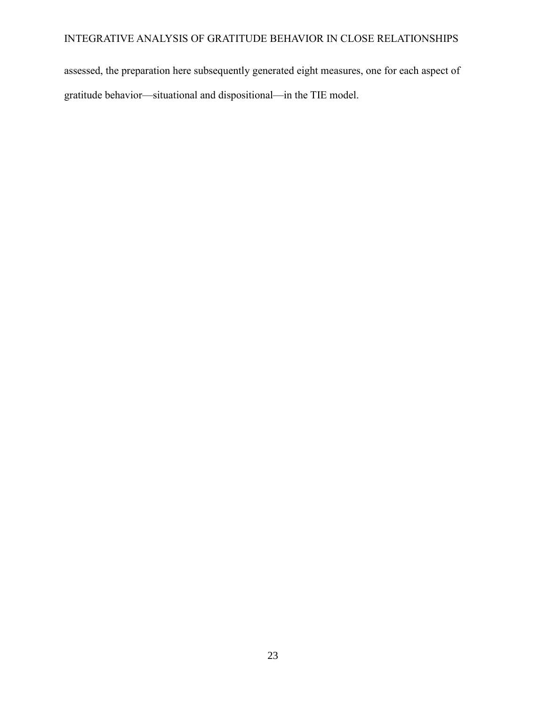assessed, the preparation here subsequently generated eight measures, one for each aspect of gratitude behavior—situational and dispositional—in the TIE model.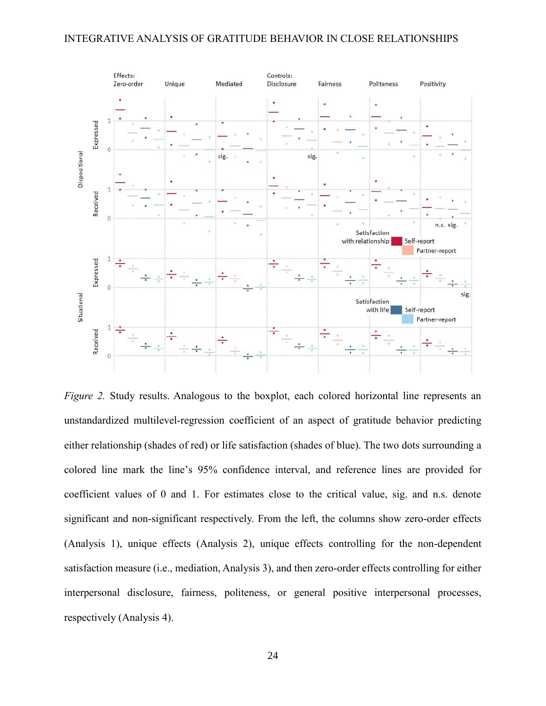

*Figure 2.* Study results. Analogous to the boxplot, each colored horizontal line represents an unstandardized multilevel-regression coefficient of an aspect of gratitude behavior predicting either relationship (shades of red) or life satisfaction (shades of blue). The two dots surrounding a colored line mark the line's 95% confidence interval, and reference lines are provided for coefficient values of 0 and 1. For estimates close to the critical value, sig. and n.s. denote significant and non-significant respectively. From the left, the columns show zero-order effects (Analysis 1), unique effects (Analysis 2), unique effects controlling for the non-dependent satisfaction measure (i.e., mediation, Analysis 3), and then zero-order effects controlling for either interpersonal disclosure, fairness, politeness, or general positive interpersonal processes, respectively (Analysis 4).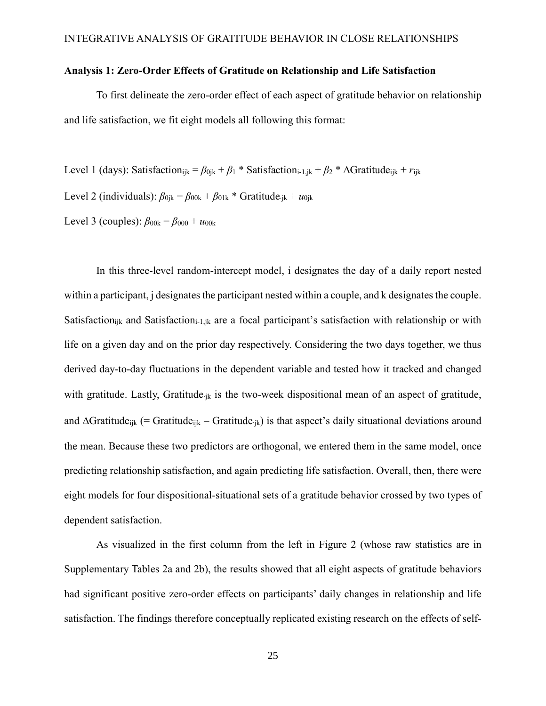# **Analysis 1: Zero-Order Effects of Gratitude on Relationship and Life Satisfaction**

To first delineate the zero-order effect of each aspect of gratitude behavior on relationship and life satisfaction, we fit eight models all following this format:

Level 1 (days): Satisfaction<sub>ijk</sub> =  $\beta_{0jk} + \beta_1 *$  Satisfaction<sub>i-1,jk</sub> +  $\beta_2 *$   $\Delta$ Gratitude<sub>ijk</sub> +  $r_{ijk}$ 

Level 2 (individuals):  $\beta_{0jk} = \beta_{00k} + \beta_{01k}$  \* Gratitude<sub>jk</sub> +  $u_{0jk}$ 

Level 3 (couples):  $\beta_{00k} = \beta_{000} + u_{00k}$ 

In this three-level random-intercept model, i designates the day of a daily report nested within a participant, j designates the participant nested within a couple, and k designates the couple. Satisfaction<sub>ijk</sub> and Satisfaction<sub>i-1,jk</sub> are a focal participant's satisfaction with relationship or with life on a given day and on the prior day respectively. Considering the two days together, we thus derived day-to-day fluctuations in the dependent variable and tested how it tracked and changed with gratitude. Lastly, Gratitude<sub>ik</sub> is the two-week dispositional mean of an aspect of gratitude, and  $\Delta$ Gratitude<sub>ijk</sub> (= Gratitude<sub>ijk</sub> – Gratitude<sub>ik</sub>) is that aspect's daily situational deviations around the mean. Because these two predictors are orthogonal, we entered them in the same model, once predicting relationship satisfaction, and again predicting life satisfaction. Overall, then, there were eight models for four dispositional-situational sets of a gratitude behavior crossed by two types of dependent satisfaction.

As visualized in the first column from the left in Figure 2 (whose raw statistics are in Supplementary Tables 2a and 2b), the results showed that all eight aspects of gratitude behaviors had significant positive zero-order effects on participants' daily changes in relationship and life satisfaction. The findings therefore conceptually replicated existing research on the effects of self-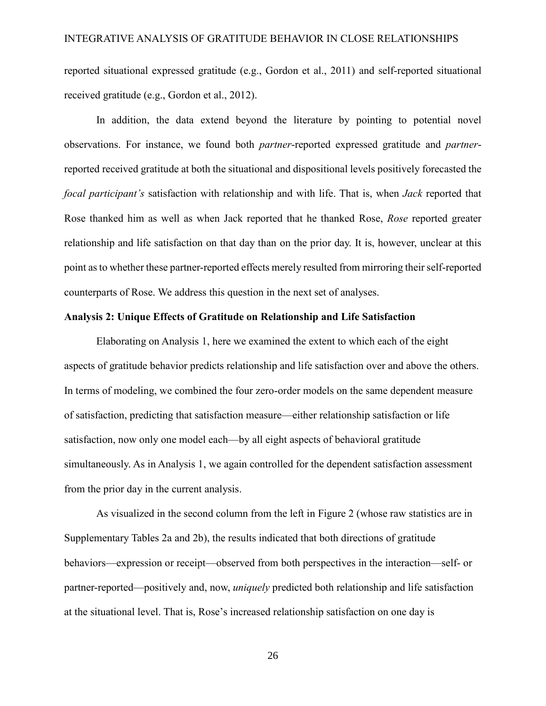reported situational expressed gratitude (e.g., Gordon et al., 2011) and self-reported situational received gratitude (e.g., Gordon et al., 2012).

In addition, the data extend beyond the literature by pointing to potential novel observations. For instance, we found both *partner*-reported expressed gratitude and *partner*reported received gratitude at both the situational and dispositional levels positively forecasted the *focal participant's* satisfaction with relationship and with life. That is, when *Jack* reported that Rose thanked him as well as when Jack reported that he thanked Rose, *Rose* reported greater relationship and life satisfaction on that day than on the prior day. It is, however, unclear at this point as to whether these partner-reported effects merely resulted from mirroring their self-reported counterparts of Rose. We address this question in the next set of analyses.

# **Analysis 2: Unique Effects of Gratitude on Relationship and Life Satisfaction**

Elaborating on Analysis 1, here we examined the extent to which each of the eight aspects of gratitude behavior predicts relationship and life satisfaction over and above the others. In terms of modeling, we combined the four zero-order models on the same dependent measure of satisfaction, predicting that satisfaction measure—either relationship satisfaction or life satisfaction, now only one model each—by all eight aspects of behavioral gratitude simultaneously. As in Analysis 1, we again controlled for the dependent satisfaction assessment from the prior day in the current analysis.

As visualized in the second column from the left in Figure 2 (whose raw statistics are in Supplementary Tables 2a and 2b), the results indicated that both directions of gratitude behaviors—expression or receipt—observed from both perspectives in the interaction—self- or partner-reported—positively and, now, *uniquely* predicted both relationship and life satisfaction at the situational level. That is, Rose's increased relationship satisfaction on one day is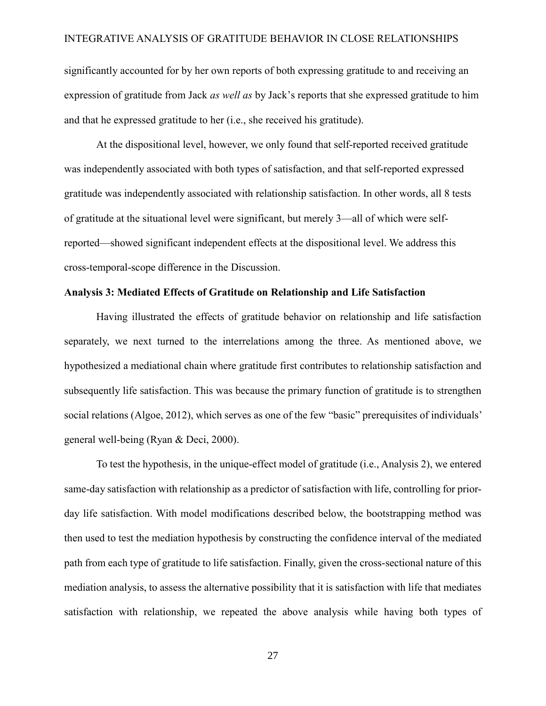significantly accounted for by her own reports of both expressing gratitude to and receiving an expression of gratitude from Jack *as well as* by Jack's reports that she expressed gratitude to him and that he expressed gratitude to her (i.e., she received his gratitude).

At the dispositional level, however, we only found that self-reported received gratitude was independently associated with both types of satisfaction, and that self-reported expressed gratitude was independently associated with relationship satisfaction. In other words, all 8 tests of gratitude at the situational level were significant, but merely 3—all of which were selfreported—showed significant independent effects at the dispositional level. We address this cross-temporal-scope difference in the Discussion.

#### **Analysis 3: Mediated Effects of Gratitude on Relationship and Life Satisfaction**

Having illustrated the effects of gratitude behavior on relationship and life satisfaction separately, we next turned to the interrelations among the three. As mentioned above, we hypothesized a mediational chain where gratitude first contributes to relationship satisfaction and subsequently life satisfaction. This was because the primary function of gratitude is to strengthen social relations (Algoe, 2012), which serves as one of the few "basic" prerequisites of individuals' general well-being (Ryan & Deci, 2000).

To test the hypothesis, in the unique-effect model of gratitude (i.e., Analysis 2), we entered same-day satisfaction with relationship as a predictor of satisfaction with life, controlling for priorday life satisfaction. With model modifications described below, the bootstrapping method was then used to test the mediation hypothesis by constructing the confidence interval of the mediated path from each type of gratitude to life satisfaction. Finally, given the cross-sectional nature of this mediation analysis, to assess the alternative possibility that it is satisfaction with life that mediates satisfaction with relationship, we repeated the above analysis while having both types of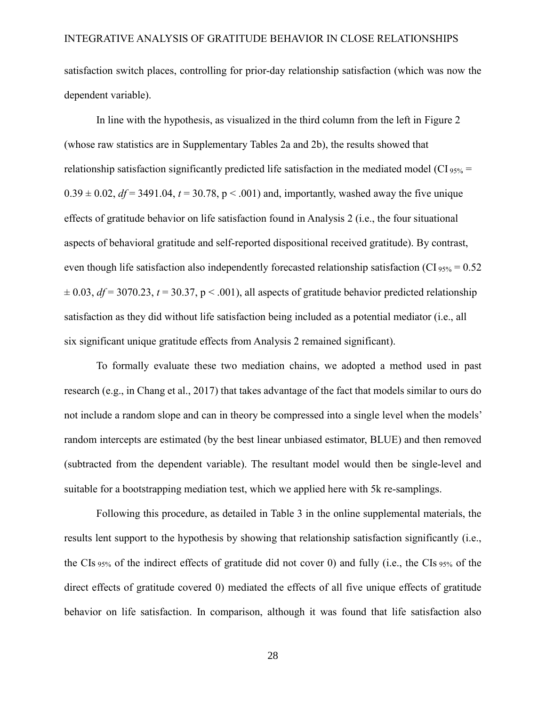satisfaction switch places, controlling for prior-day relationship satisfaction (which was now the dependent variable).

In line with the hypothesis, as visualized in the third column from the left in Figure 2 (whose raw statistics are in Supplementary Tables 2a and 2b), the results showed that relationship satisfaction significantly predicted life satisfaction in the mediated model (CI  $_{95\%}$  =  $0.39 \pm 0.02$ ,  $df = 3491.04$ ,  $t = 30.78$ ,  $p < .001$ ) and, importantly, washed away the five unique effects of gratitude behavior on life satisfaction found in Analysis 2 (i.e., the four situational aspects of behavioral gratitude and self-reported dispositional received gratitude). By contrast, even though life satisfaction also independently forecasted relationship satisfaction (CI  $_{95\%} = 0.52$ )  $\pm$  0.03, *df* = 3070.23, *t* = 30.37, p < .001), all aspects of gratitude behavior predicted relationship satisfaction as they did without life satisfaction being included as a potential mediator (i.e., all six significant unique gratitude effects from Analysis 2 remained significant).

To formally evaluate these two mediation chains, we adopted a method used in past research (e.g., in Chang et al., 2017) that takes advantage of the fact that models similar to ours do not include a random slope and can in theory be compressed into a single level when the models' random intercepts are estimated (by the best linear unbiased estimator, BLUE) and then removed (subtracted from the dependent variable). The resultant model would then be single-level and suitable for a bootstrapping mediation test, which we applied here with 5k re-samplings.

Following this procedure, as detailed in Table 3 in the online supplemental materials, the results lent support to the hypothesis by showing that relationship satisfaction significantly (i.e., the CIs 95% of the indirect effects of gratitude did not cover 0) and fully (i.e., the CIs 95% of the direct effects of gratitude covered 0) mediated the effects of all five unique effects of gratitude behavior on life satisfaction. In comparison, although it was found that life satisfaction also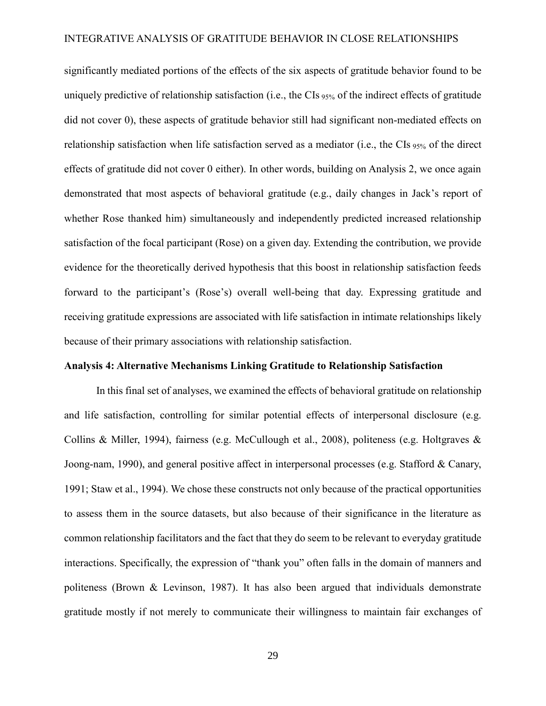significantly mediated portions of the effects of the six aspects of gratitude behavior found to be uniquely predictive of relationship satisfaction (i.e., the CIs 95% of the indirect effects of gratitude did not cover 0), these aspects of gratitude behavior still had significant non-mediated effects on relationship satisfaction when life satisfaction served as a mediator (i.e., the CIs 95% of the direct effects of gratitude did not cover 0 either). In other words, building on Analysis 2, we once again demonstrated that most aspects of behavioral gratitude (e.g., daily changes in Jack's report of whether Rose thanked him) simultaneously and independently predicted increased relationship satisfaction of the focal participant (Rose) on a given day. Extending the contribution, we provide evidence for the theoretically derived hypothesis that this boost in relationship satisfaction feeds forward to the participant's (Rose's) overall well-being that day. Expressing gratitude and receiving gratitude expressions are associated with life satisfaction in intimate relationships likely because of their primary associations with relationship satisfaction.

# **Analysis 4: Alternative Mechanisms Linking Gratitude to Relationship Satisfaction**

In this final set of analyses, we examined the effects of behavioral gratitude on relationship and life satisfaction, controlling for similar potential effects of interpersonal disclosure (e.g. Collins & Miller, 1994), fairness (e.g. McCullough et al., 2008), politeness (e.g. Holtgraves & Joong-nam, 1990), and general positive affect in interpersonal processes (e.g. Stafford & Canary, 1991; Staw et al., 1994). We chose these constructs not only because of the practical opportunities to assess them in the source datasets, but also because of their significance in the literature as common relationship facilitators and the fact that they do seem to be relevant to everyday gratitude interactions. Specifically, the expression of "thank you" often falls in the domain of manners and politeness (Brown & Levinson, 1987). It has also been argued that individuals demonstrate gratitude mostly if not merely to communicate their willingness to maintain fair exchanges of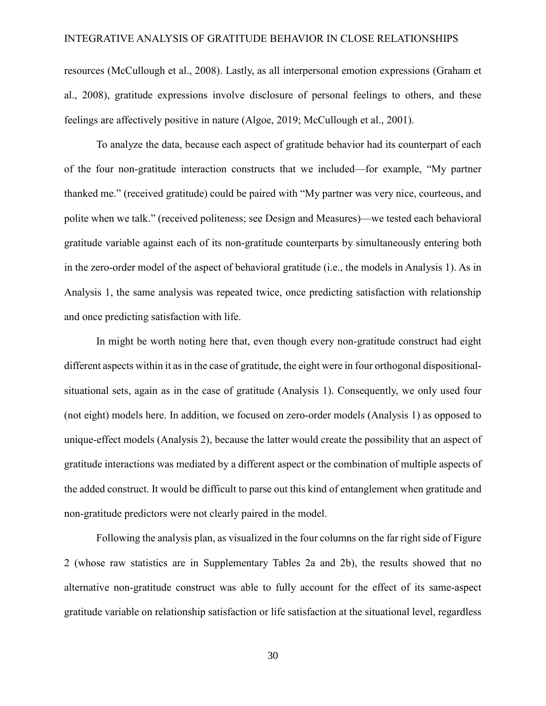resources (McCullough et al., 2008). Lastly, as all interpersonal emotion expressions (Graham et al., 2008), gratitude expressions involve disclosure of personal feelings to others, and these feelings are affectively positive in nature (Algoe, 2019; McCullough et al., 2001).

To analyze the data, because each aspect of gratitude behavior had its counterpart of each of the four non-gratitude interaction constructs that we included—for example, "My partner thanked me." (received gratitude) could be paired with "My partner was very nice, courteous, and polite when we talk." (received politeness; see Design and Measures)—we tested each behavioral gratitude variable against each of its non-gratitude counterparts by simultaneously entering both in the zero-order model of the aspect of behavioral gratitude (i.e., the models in Analysis 1). As in Analysis 1, the same analysis was repeated twice, once predicting satisfaction with relationship and once predicting satisfaction with life.

In might be worth noting here that, even though every non-gratitude construct had eight different aspects within it as in the case of gratitude, the eight were in four orthogonal dispositionalsituational sets, again as in the case of gratitude (Analysis 1). Consequently, we only used four (not eight) models here. In addition, we focused on zero-order models (Analysis 1) as opposed to unique-effect models (Analysis 2), because the latter would create the possibility that an aspect of gratitude interactions was mediated by a different aspect or the combination of multiple aspects of the added construct. It would be difficult to parse out this kind of entanglement when gratitude and non-gratitude predictors were not clearly paired in the model.

Following the analysis plan, as visualized in the four columns on the far right side of Figure 2 (whose raw statistics are in Supplementary Tables 2a and 2b), the results showed that no alternative non-gratitude construct was able to fully account for the effect of its same-aspect gratitude variable on relationship satisfaction or life satisfaction at the situational level, regardless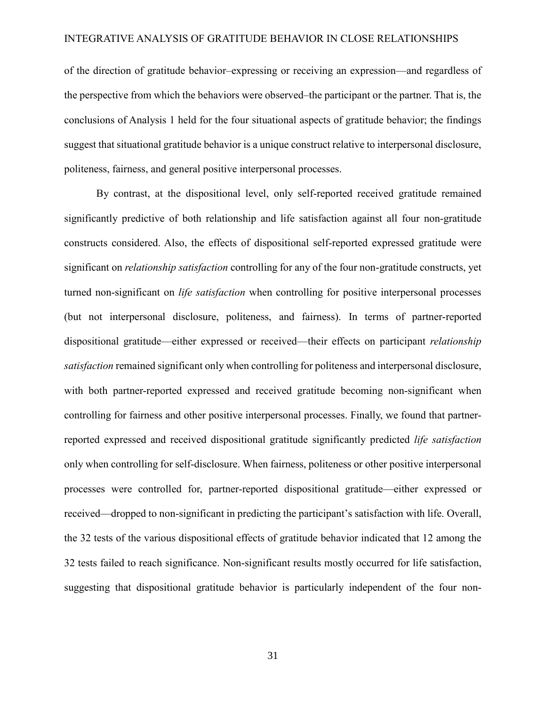of the direction of gratitude behavior–expressing or receiving an expression—and regardless of the perspective from which the behaviors were observed–the participant or the partner. That is, the conclusions of Analysis 1 held for the four situational aspects of gratitude behavior; the findings suggest that situational gratitude behavior is a unique construct relative to interpersonal disclosure, politeness, fairness, and general positive interpersonal processes.

By contrast, at the dispositional level, only self-reported received gratitude remained significantly predictive of both relationship and life satisfaction against all four non-gratitude constructs considered. Also, the effects of dispositional self-reported expressed gratitude were significant on *relationship satisfaction* controlling for any of the four non-gratitude constructs, yet turned non-significant on *life satisfaction* when controlling for positive interpersonal processes (but not interpersonal disclosure, politeness, and fairness). In terms of partner-reported dispositional gratitude—either expressed or received—their effects on participant *relationship satisfaction* remained significant only when controlling for politeness and interpersonal disclosure, with both partner-reported expressed and received gratitude becoming non-significant when controlling for fairness and other positive interpersonal processes. Finally, we found that partnerreported expressed and received dispositional gratitude significantly predicted *life satisfaction* only when controlling for self-disclosure. When fairness, politeness or other positive interpersonal processes were controlled for, partner-reported dispositional gratitude—either expressed or received—dropped to non-significant in predicting the participant's satisfaction with life. Overall, the 32 tests of the various dispositional effects of gratitude behavior indicated that 12 among the 32 tests failed to reach significance. Non-significant results mostly occurred for life satisfaction, suggesting that dispositional gratitude behavior is particularly independent of the four non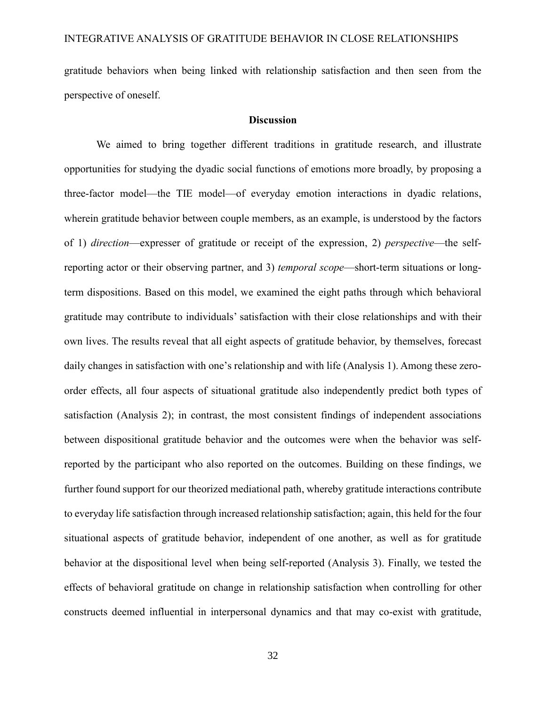gratitude behaviors when being linked with relationship satisfaction and then seen from the perspective of oneself.

# **Discussion**

We aimed to bring together different traditions in gratitude research, and illustrate opportunities for studying the dyadic social functions of emotions more broadly, by proposing a three-factor model—the TIE model—of everyday emotion interactions in dyadic relations, wherein gratitude behavior between couple members, as an example, is understood by the factors of 1) *direction*—expresser of gratitude or receipt of the expression, 2) *perspective*—the selfreporting actor or their observing partner, and 3) *temporal scope*—short-term situations or longterm dispositions. Based on this model, we examined the eight paths through which behavioral gratitude may contribute to individuals' satisfaction with their close relationships and with their own lives. The results reveal that all eight aspects of gratitude behavior, by themselves, forecast daily changes in satisfaction with one's relationship and with life (Analysis 1). Among these zeroorder effects, all four aspects of situational gratitude also independently predict both types of satisfaction (Analysis 2); in contrast, the most consistent findings of independent associations between dispositional gratitude behavior and the outcomes were when the behavior was selfreported by the participant who also reported on the outcomes. Building on these findings, we further found support for our theorized mediational path, whereby gratitude interactions contribute to everyday life satisfaction through increased relationship satisfaction; again, this held for the four situational aspects of gratitude behavior, independent of one another, as well as for gratitude behavior at the dispositional level when being self-reported (Analysis 3). Finally, we tested the effects of behavioral gratitude on change in relationship satisfaction when controlling for other constructs deemed influential in interpersonal dynamics and that may co-exist with gratitude,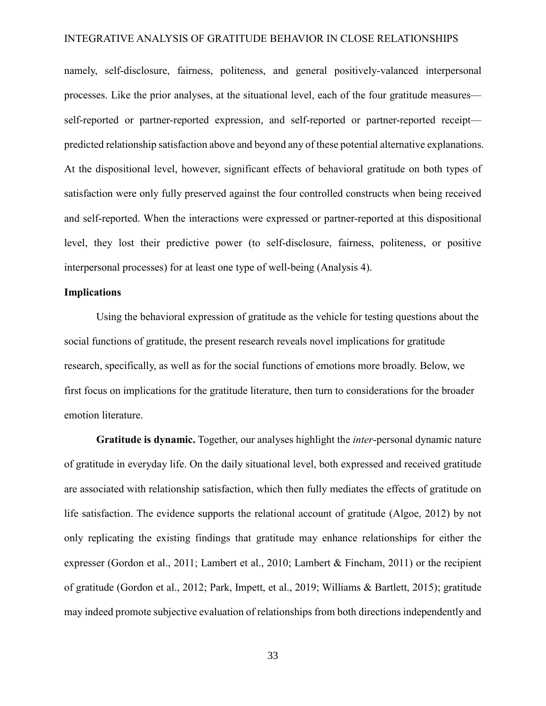namely, self-disclosure, fairness, politeness, and general positively-valanced interpersonal processes. Like the prior analyses, at the situational level, each of the four gratitude measures self-reported or partner-reported expression, and self-reported or partner-reported receipt predicted relationship satisfaction above and beyond any of these potential alternative explanations. At the dispositional level, however, significant effects of behavioral gratitude on both types of satisfaction were only fully preserved against the four controlled constructs when being received and self-reported. When the interactions were expressed or partner-reported at this dispositional level, they lost their predictive power (to self-disclosure, fairness, politeness, or positive interpersonal processes) for at least one type of well-being (Analysis 4).

# **Implications**

Using the behavioral expression of gratitude as the vehicle for testing questions about the social functions of gratitude, the present research reveals novel implications for gratitude research, specifically, as well as for the social functions of emotions more broadly. Below, we first focus on implications for the gratitude literature, then turn to considerations for the broader emotion literature.

**Gratitude is dynamic.** Together, our analyses highlight the *inter*-personal dynamic nature of gratitude in everyday life. On the daily situational level, both expressed and received gratitude are associated with relationship satisfaction, which then fully mediates the effects of gratitude on life satisfaction. The evidence supports the relational account of gratitude (Algoe, 2012) by not only replicating the existing findings that gratitude may enhance relationships for either the expresser (Gordon et al., 2011; Lambert et al., 2010; Lambert & Fincham, 2011) or the recipient of gratitude (Gordon et al., 2012; Park, Impett, et al., 2019; Williams & Bartlett, 2015); gratitude may indeed promote subjective evaluation of relationships from both directions independently and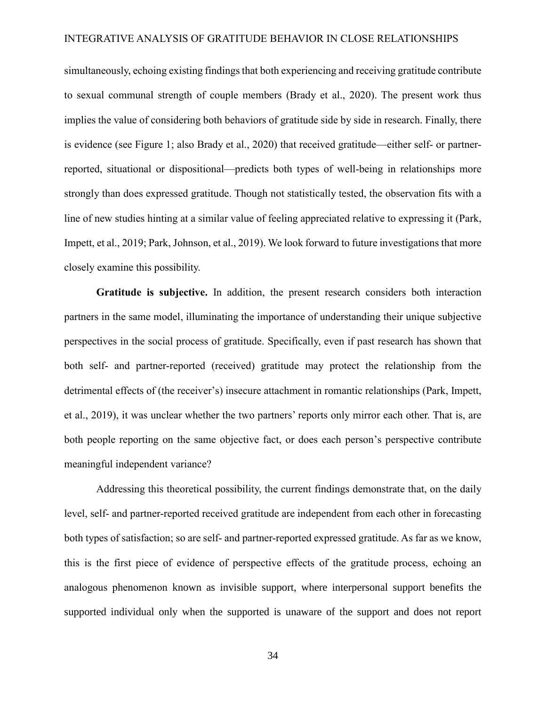simultaneously, echoing existing findings that both experiencing and receiving gratitude contribute to sexual communal strength of couple members (Brady et al., 2020). The present work thus implies the value of considering both behaviors of gratitude side by side in research. Finally, there is evidence (see Figure 1; also Brady et al., 2020) that received gratitude—either self- or partnerreported, situational or dispositional—predicts both types of well-being in relationships more strongly than does expressed gratitude. Though not statistically tested, the observation fits with a line of new studies hinting at a similar value of feeling appreciated relative to expressing it (Park, Impett, et al., 2019; Park, Johnson, et al., 2019). We look forward to future investigations that more closely examine this possibility.

**Gratitude is subjective.** In addition, the present research considers both interaction partners in the same model, illuminating the importance of understanding their unique subjective perspectives in the social process of gratitude. Specifically, even if past research has shown that both self- and partner-reported (received) gratitude may protect the relationship from the detrimental effects of (the receiver's) insecure attachment in romantic relationships (Park, Impett, et al., 2019), it was unclear whether the two partners' reports only mirror each other. That is, are both people reporting on the same objective fact, or does each person's perspective contribute meaningful independent variance?

Addressing this theoretical possibility, the current findings demonstrate that, on the daily level, self- and partner-reported received gratitude are independent from each other in forecasting both types of satisfaction; so are self- and partner-reported expressed gratitude. As far as we know, this is the first piece of evidence of perspective effects of the gratitude process, echoing an analogous phenomenon known as invisible support, where interpersonal support benefits the supported individual only when the supported is unaware of the support and does not report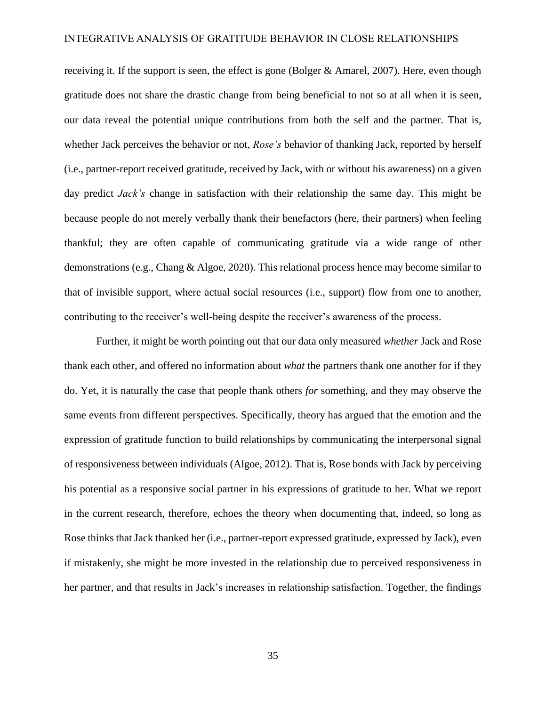receiving it. If the support is seen, the effect is gone (Bolger & Amarel, 2007). Here, even though gratitude does not share the drastic change from being beneficial to not so at all when it is seen, our data reveal the potential unique contributions from both the self and the partner. That is, whether Jack perceives the behavior or not, *Rose's* behavior of thanking Jack, reported by herself (i.e., partner-report received gratitude, received by Jack, with or without his awareness) on a given day predict *Jack's* change in satisfaction with their relationship the same day. This might be because people do not merely verbally thank their benefactors (here, their partners) when feeling thankful; they are often capable of communicating gratitude via a wide range of other demonstrations (e.g., Chang & Algoe, 2020). This relational process hence may become similar to that of invisible support, where actual social resources (i.e., support) flow from one to another, contributing to the receiver's well-being despite the receiver's awareness of the process.

Further, it might be worth pointing out that our data only measured *whether* Jack and Rose thank each other, and offered no information about *what* the partners thank one another for if they do. Yet, it is naturally the case that people thank others *for* something, and they may observe the same events from different perspectives. Specifically, theory has argued that the emotion and the expression of gratitude function to build relationships by communicating the interpersonal signal of responsiveness between individuals (Algoe, 2012). That is, Rose bonds with Jack by perceiving his potential as a responsive social partner in his expressions of gratitude to her. What we report in the current research, therefore, echoes the theory when documenting that, indeed, so long as Rose thinks that Jack thanked her (i.e., partner-report expressed gratitude, expressed by Jack), even if mistakenly, she might be more invested in the relationship due to perceived responsiveness in her partner, and that results in Jack's increases in relationship satisfaction. Together, the findings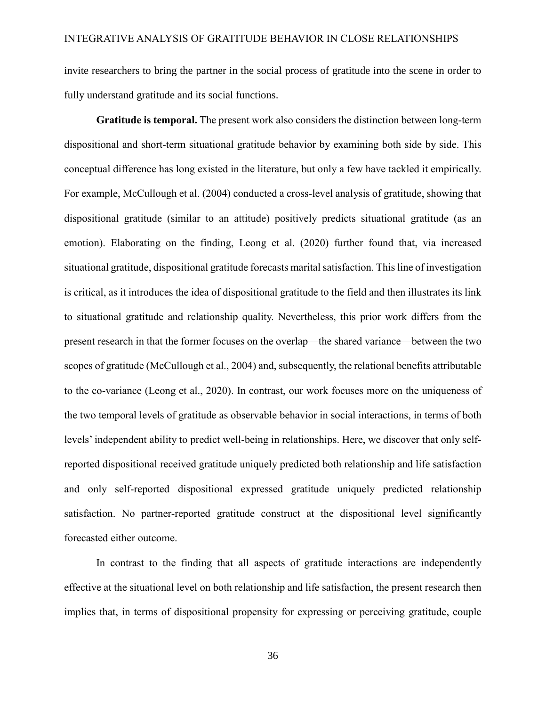invite researchers to bring the partner in the social process of gratitude into the scene in order to fully understand gratitude and its social functions.

**Gratitude is temporal.** The present work also considers the distinction between long-term dispositional and short-term situational gratitude behavior by examining both side by side. This conceptual difference has long existed in the literature, but only a few have tackled it empirically. For example, McCullough et al. (2004) conducted a cross-level analysis of gratitude, showing that dispositional gratitude (similar to an attitude) positively predicts situational gratitude (as an emotion). Elaborating on the finding, Leong et al. (2020) further found that, via increased situational gratitude, dispositional gratitude forecasts marital satisfaction. This line of investigation is critical, as it introduces the idea of dispositional gratitude to the field and then illustrates its link to situational gratitude and relationship quality. Nevertheless, this prior work differs from the present research in that the former focuses on the overlap—the shared variance—between the two scopes of gratitude (McCullough et al., 2004) and, subsequently, the relational benefits attributable to the co-variance (Leong et al., 2020). In contrast, our work focuses more on the uniqueness of the two temporal levels of gratitude as observable behavior in social interactions, in terms of both levels' independent ability to predict well-being in relationships. Here, we discover that only selfreported dispositional received gratitude uniquely predicted both relationship and life satisfaction and only self-reported dispositional expressed gratitude uniquely predicted relationship satisfaction. No partner-reported gratitude construct at the dispositional level significantly forecasted either outcome.

In contrast to the finding that all aspects of gratitude interactions are independently effective at the situational level on both relationship and life satisfaction, the present research then implies that, in terms of dispositional propensity for expressing or perceiving gratitude, couple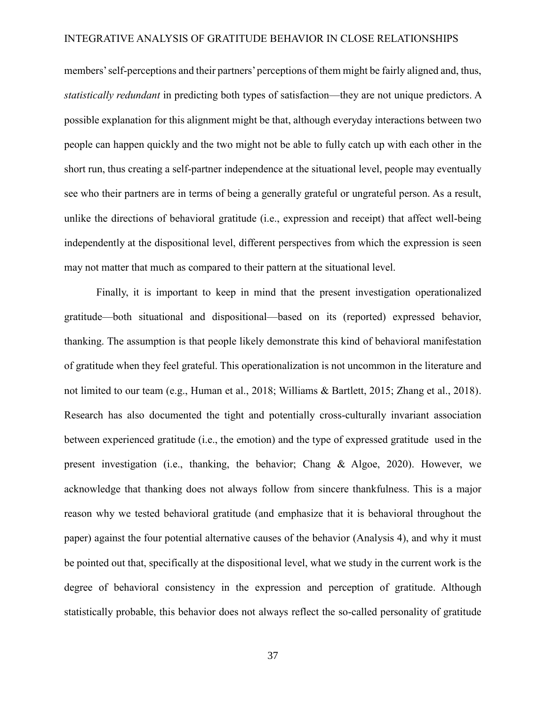members'self-perceptions and their partners' perceptions of them might be fairly aligned and, thus, *statistically redundant* in predicting both types of satisfaction—they are not unique predictors. A possible explanation for this alignment might be that, although everyday interactions between two people can happen quickly and the two might not be able to fully catch up with each other in the short run, thus creating a self-partner independence at the situational level, people may eventually see who their partners are in terms of being a generally grateful or ungrateful person. As a result, unlike the directions of behavioral gratitude (i.e., expression and receipt) that affect well-being independently at the dispositional level, different perspectives from which the expression is seen may not matter that much as compared to their pattern at the situational level.

Finally, it is important to keep in mind that the present investigation operationalized gratitude—both situational and dispositional—based on its (reported) expressed behavior, thanking. The assumption is that people likely demonstrate this kind of behavioral manifestation of gratitude when they feel grateful. This operationalization is not uncommon in the literature and not limited to our team (e.g., Human et al., 2018; Williams & Bartlett, 2015; Zhang et al., 2018). Research has also documented the tight and potentially cross-culturally invariant association between experienced gratitude (i.e., the emotion) and the type of expressed gratitude used in the present investigation (i.e., thanking, the behavior; Chang & Algoe, 2020). However, we acknowledge that thanking does not always follow from sincere thankfulness. This is a major reason why we tested behavioral gratitude (and emphasize that it is behavioral throughout the paper) against the four potential alternative causes of the behavior (Analysis 4), and why it must be pointed out that, specifically at the dispositional level, what we study in the current work is the degree of behavioral consistency in the expression and perception of gratitude. Although statistically probable, this behavior does not always reflect the so-called personality of gratitude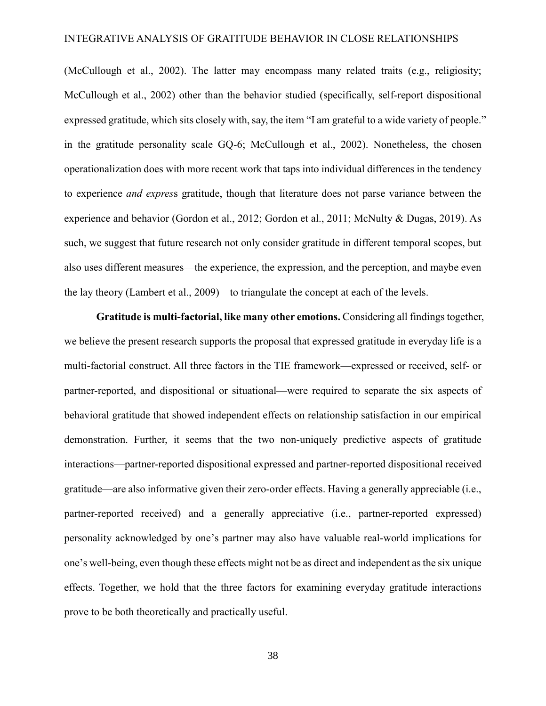(McCullough et al., 2002). The latter may encompass many related traits (e.g., religiosity; McCullough et al., 2002) other than the behavior studied (specifically, self-report dispositional expressed gratitude, which sits closely with, say, the item "I am grateful to a wide variety of people." in the gratitude personality scale GQ-6; McCullough et al., 2002). Nonetheless, the chosen operationalization does with more recent work that taps into individual differences in the tendency to experience *and expres*s gratitude, though that literature does not parse variance between the experience and behavior (Gordon et al., 2012; Gordon et al., 2011; McNulty & Dugas, 2019). As such, we suggest that future research not only consider gratitude in different temporal scopes, but also uses different measures—the experience, the expression, and the perception, and maybe even the lay theory (Lambert et al., 2009)—to triangulate the concept at each of the levels.

**Gratitude is multi-factorial, like many other emotions.** Considering all findings together, we believe the present research supports the proposal that expressed gratitude in everyday life is a multi-factorial construct. All three factors in the TIE framework—expressed or received, self- or partner-reported, and dispositional or situational—were required to separate the six aspects of behavioral gratitude that showed independent effects on relationship satisfaction in our empirical demonstration. Further, it seems that the two non-uniquely predictive aspects of gratitude interactions—partner-reported dispositional expressed and partner-reported dispositional received gratitude—are also informative given their zero-order effects. Having a generally appreciable (i.e., partner-reported received) and a generally appreciative (i.e., partner-reported expressed) personality acknowledged by one's partner may also have valuable real-world implications for one's well-being, even though these effects might not be as direct and independent as the six unique effects. Together, we hold that the three factors for examining everyday gratitude interactions prove to be both theoretically and practically useful.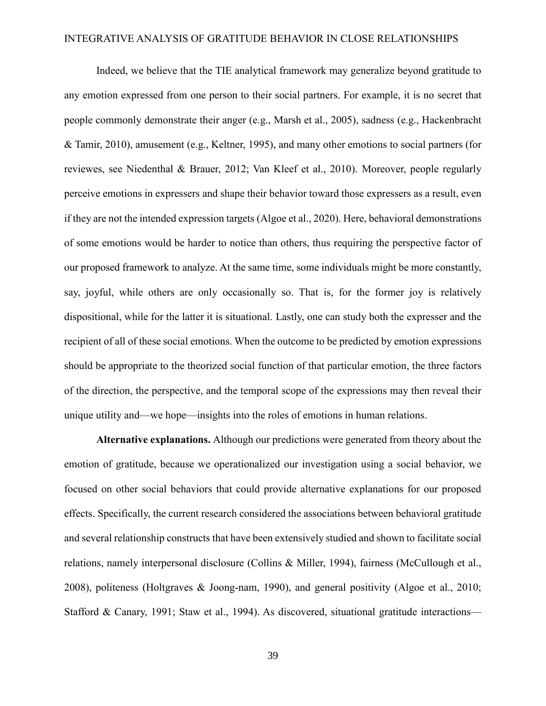Indeed, we believe that the TIE analytical framework may generalize beyond gratitude to any emotion expressed from one person to their social partners. For example, it is no secret that people commonly demonstrate their anger (e.g., Marsh et al., 2005), sadness (e.g., Hackenbracht & Tamir, 2010), amusement (e.g., Keltner, 1995), and many other emotions to social partners (for reviewes, see Niedenthal & Brauer, 2012; Van Kleef et al., 2010). Moreover, people regularly perceive emotions in expressers and shape their behavior toward those expressers as a result, even if they are not the intended expression targets (Algoe et al., 2020). Here, behavioral demonstrations of some emotions would be harder to notice than others, thus requiring the perspective factor of our proposed framework to analyze. At the same time, some individuals might be more constantly, say, joyful, while others are only occasionally so. That is, for the former joy is relatively dispositional, while for the latter it is situational. Lastly, one can study both the expresser and the recipient of all of these social emotions. When the outcome to be predicted by emotion expressions should be appropriate to the theorized social function of that particular emotion, the three factors of the direction, the perspective, and the temporal scope of the expressions may then reveal their unique utility and—we hope—insights into the roles of emotions in human relations.

**Alternative explanations.** Although our predictions were generated from theory about the emotion of gratitude, because we operationalized our investigation using a social behavior, we focused on other social behaviors that could provide alternative explanations for our proposed effects. Specifically, the current research considered the associations between behavioral gratitude and several relationship constructs that have been extensively studied and shown to facilitate social relations, namely interpersonal disclosure (Collins & Miller, 1994), fairness (McCullough et al., 2008), politeness (Holtgraves & Joong-nam, 1990), and general positivity (Algoe et al., 2010; Stafford & Canary, 1991; Staw et al., 1994). As discovered, situational gratitude interactions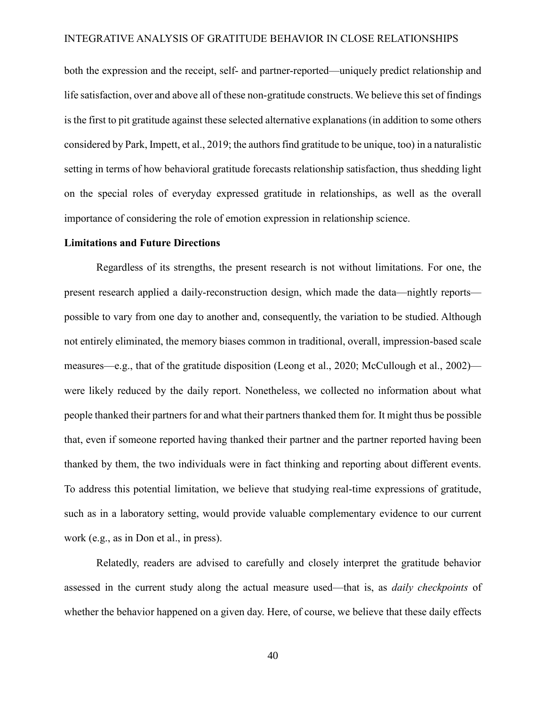both the expression and the receipt, self- and partner-reported—uniquely predict relationship and life satisfaction, over and above all of these non-gratitude constructs. We believe this set of findings is the first to pit gratitude against these selected alternative explanations (in addition to some others considered by Park, Impett, et al., 2019; the authors find gratitude to be unique, too) in a naturalistic setting in terms of how behavioral gratitude forecasts relationship satisfaction, thus shedding light on the special roles of everyday expressed gratitude in relationships, as well as the overall importance of considering the role of emotion expression in relationship science.

#### **Limitations and Future Directions**

Regardless of its strengths, the present research is not without limitations. For one, the present research applied a daily-reconstruction design, which made the data—nightly reports possible to vary from one day to another and, consequently, the variation to be studied. Although not entirely eliminated, the memory biases common in traditional, overall, impression-based scale measures—e.g., that of the gratitude disposition (Leong et al., 2020; McCullough et al., 2002) were likely reduced by the daily report. Nonetheless, we collected no information about what people thanked their partners for and what their partners thanked them for. It might thus be possible that, even if someone reported having thanked their partner and the partner reported having been thanked by them, the two individuals were in fact thinking and reporting about different events. To address this potential limitation, we believe that studying real-time expressions of gratitude, such as in a laboratory setting, would provide valuable complementary evidence to our current work (e.g., as in Don et al., in press).

Relatedly, readers are advised to carefully and closely interpret the gratitude behavior assessed in the current study along the actual measure used—that is, as *daily checkpoints* of whether the behavior happened on a given day. Here, of course, we believe that these daily effects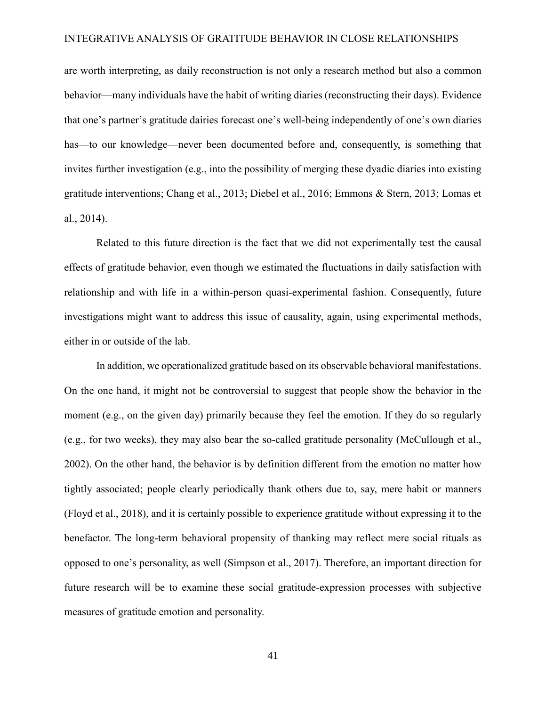are worth interpreting, as daily reconstruction is not only a research method but also a common behavior—many individuals have the habit of writing diaries (reconstructing their days). Evidence that one's partner's gratitude dairies forecast one's well-being independently of one's own diaries has—to our knowledge—never been documented before and, consequently, is something that invites further investigation (e.g., into the possibility of merging these dyadic diaries into existing gratitude interventions; Chang et al., 2013; Diebel et al., 2016; Emmons & Stern, 2013; Lomas et al., 2014).

Related to this future direction is the fact that we did not experimentally test the causal effects of gratitude behavior, even though we estimated the fluctuations in daily satisfaction with relationship and with life in a within-person quasi-experimental fashion. Consequently, future investigations might want to address this issue of causality, again, using experimental methods, either in or outside of the lab.

In addition, we operationalized gratitude based on its observable behavioral manifestations. On the one hand, it might not be controversial to suggest that people show the behavior in the moment (e.g., on the given day) primarily because they feel the emotion. If they do so regularly (e.g., for two weeks), they may also bear the so-called gratitude personality (McCullough et al., 2002). On the other hand, the behavior is by definition different from the emotion no matter how tightly associated; people clearly periodically thank others due to, say, mere habit or manners (Floyd et al., 2018), and it is certainly possible to experience gratitude without expressing it to the benefactor. The long-term behavioral propensity of thanking may reflect mere social rituals as opposed to one's personality, as well (Simpson et al., 2017). Therefore, an important direction for future research will be to examine these social gratitude-expression processes with subjective measures of gratitude emotion and personality.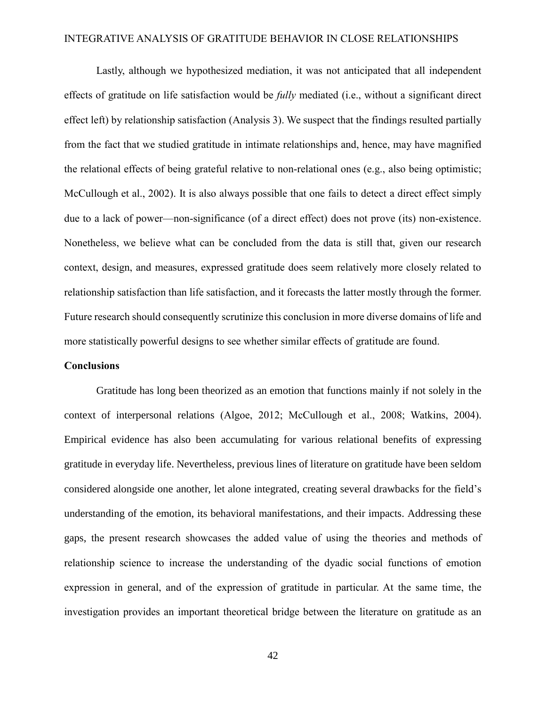Lastly, although we hypothesized mediation, it was not anticipated that all independent effects of gratitude on life satisfaction would be *fully* mediated (i.e., without a significant direct effect left) by relationship satisfaction (Analysis 3). We suspect that the findings resulted partially from the fact that we studied gratitude in intimate relationships and, hence, may have magnified the relational effects of being grateful relative to non-relational ones (e.g., also being optimistic; McCullough et al., 2002). It is also always possible that one fails to detect a direct effect simply due to a lack of power—non-significance (of a direct effect) does not prove (its) non-existence. Nonetheless, we believe what can be concluded from the data is still that, given our research context, design, and measures, expressed gratitude does seem relatively more closely related to relationship satisfaction than life satisfaction, and it forecasts the latter mostly through the former. Future research should consequently scrutinize this conclusion in more diverse domains of life and more statistically powerful designs to see whether similar effects of gratitude are found.

# **Conclusions**

Gratitude has long been theorized as an emotion that functions mainly if not solely in the context of interpersonal relations (Algoe, 2012; McCullough et al., 2008; Watkins, 2004). Empirical evidence has also been accumulating for various relational benefits of expressing gratitude in everyday life. Nevertheless, previous lines of literature on gratitude have been seldom considered alongside one another, let alone integrated, creating several drawbacks for the field's understanding of the emotion, its behavioral manifestations, and their impacts. Addressing these gaps, the present research showcases the added value of using the theories and methods of relationship science to increase the understanding of the dyadic social functions of emotion expression in general, and of the expression of gratitude in particular. At the same time, the investigation provides an important theoretical bridge between the literature on gratitude as an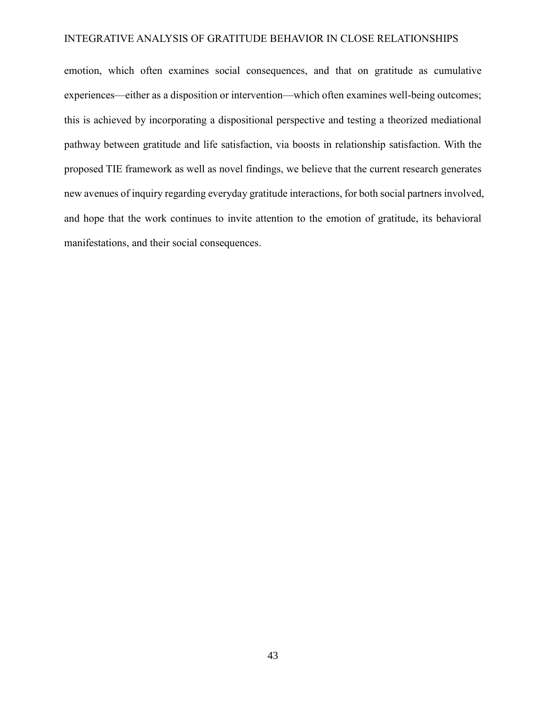emotion, which often examines social consequences, and that on gratitude as cumulative experiences—either as a disposition or intervention—which often examines well-being outcomes; this is achieved by incorporating a dispositional perspective and testing a theorized mediational pathway between gratitude and life satisfaction, via boosts in relationship satisfaction. With the proposed TIE framework as well as novel findings, we believe that the current research generates new avenues of inquiry regarding everyday gratitude interactions, for both social partners involved, and hope that the work continues to invite attention to the emotion of gratitude, its behavioral manifestations, and their social consequences.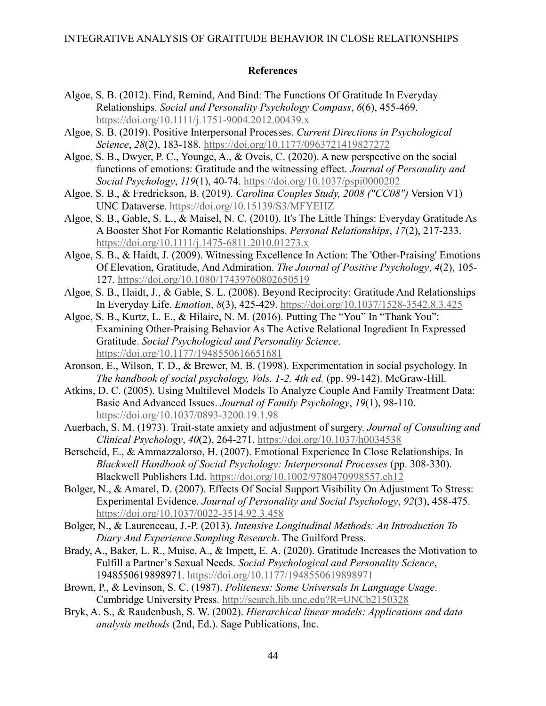# **References**

- Algoe, S. B. (2012). Find, Remind, And Bind: The Functions Of Gratitude In Everyday Relationships. *Social and Personality Psychology Compass*, *6*(6), 455-469. <https://doi.org/10.1111/j.1751-9004.2012.00439.x>
- Algoe, S. B. (2019). Positive Interpersonal Processes. *Current Directions in Psychological Science*, *28*(2), 183-188.<https://doi.org/10.1177/0963721419827272>
- Algoe, S. B., Dwyer, P. C., Younge, A., & Oveis, C. (2020). A new perspective on the social functions of emotions: Gratitude and the witnessing effect. *Journal of Personality and Social Psychology*, *119*(1), 40-74.<https://doi.org/10.1037/pspi0000202>
- Algoe, S. B., & Fredrickson, B. (2019). *Carolina Couples Study, 2008 ("CC08")* Version V1) UNC Dataverse.<https://doi.org/10.15139/S3/MFYEHZ>
- Algoe, S. B., Gable, S. L., & Maisel, N. C. (2010). It's The Little Things: Everyday Gratitude As A Booster Shot For Romantic Relationships. *Personal Relationships*, *17*(2), 217-233. <https://doi.org/10.1111/j.1475-6811.2010.01273.x>
- Algoe, S. B., & Haidt, J. (2009). Witnessing Excellence In Action: The 'Other-Praising' Emotions Of Elevation, Gratitude, And Admiration. *The Journal of Positive Psychology*, *4*(2), 105- 127.<https://doi.org/10.1080/17439760802650519>
- Algoe, S. B., Haidt, J., & Gable, S. L. (2008). Beyond Reciprocity: Gratitude And Relationships In Everyday Life. *Emotion*, *8*(3), 425-429.<https://doi.org/10.1037/1528-3542.8.3.425>
- Algoe, S. B., Kurtz, L. E., & Hilaire, N. M. (2016). Putting The "You" In "Thank You": Examining Other-Praising Behavior As The Active Relational Ingredient In Expressed Gratitude. *Social Psychological and Personality Science*. <https://doi.org/10.1177/1948550616651681>
- Aronson, E., Wilson, T. D., & Brewer, M. B. (1998). Experimentation in social psychology. In *The handbook of social psychology, Vols. 1-2, 4th ed.* (pp. 99-142). McGraw-Hill.
- Atkins, D. C. (2005). Using Multilevel Models To Analyze Couple And Family Treatment Data: Basic And Advanced Issues. *Journal of Family Psychology*, *19*(1), 98-110. <https://doi.org/10.1037/0893-3200.19.1.98>
- Auerbach, S. M. (1973). Trait-state anxiety and adjustment of surgery. *Journal of Consulting and Clinical Psychology*, *40*(2), 264-271.<https://doi.org/10.1037/h0034538>
- Berscheid, E., & Ammazzalorso, H. (2007). Emotional Experience In Close Relationships. In *Blackwell Handbook of Social Psychology: Interpersonal Processes* (pp. 308-330). Blackwell Publishers Ltd.<https://doi.org/10.1002/9780470998557.ch12>
- Bolger, N., & Amarel, D. (2007). Effects Of Social Support Visibility On Adjustment To Stress: Experimental Evidence. *Journal of Personality and Social Psychology*, *92*(3), 458-475. <https://doi.org/10.1037/0022-3514.92.3.458>
- Bolger, N., & Laurenceau, J.-P. (2013). *Intensive Longitudinal Methods: An Introduction To Diary And Experience Sampling Research*. The Guilford Press.
- Brady, A., Baker, L. R., Muise, A., & Impett, E. A. (2020). Gratitude Increases the Motivation to Fulfill a Partner's Sexual Needs. *Social Psychological and Personality Science*, 1948550619898971.<https://doi.org/10.1177/1948550619898971>
- Brown, P., & Levinson, S. C. (1987). *Politeness: Some Universals In Language Usage*. Cambridge University Press. [http://search.lib.unc.edu?R=UNCb2150328](http://search.lib.unc.edu/?R=UNCb2150328)
- Bryk, A. S., & Raudenbush, S. W. (2002). *Hierarchical linear models: Applications and data analysis methods* (2nd, Ed.). Sage Publications, Inc.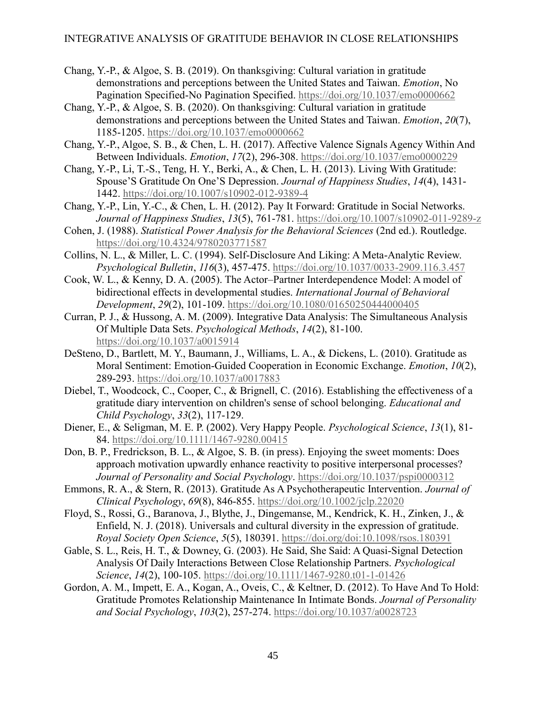- Chang, Y.-P., & Algoe, S. B. (2019). On thanksgiving: Cultural variation in gratitude demonstrations and perceptions between the United States and Taiwan. *Emotion*, No Pagination Specified-No Pagination Specified.<https://doi.org/10.1037/emo0000662>
- Chang, Y.-P., & Algoe, S. B. (2020). On thanksgiving: Cultural variation in gratitude demonstrations and perceptions between the United States and Taiwan. *Emotion*, *20*(7), 1185-1205.<https://doi.org/10.1037/emo0000662>
- Chang, Y.-P., Algoe, S. B., & Chen, L. H. (2017). Affective Valence Signals Agency Within And Between Individuals. *Emotion*, *17*(2), 296-308.<https://doi.org/10.1037/emo0000229>
- Chang, Y.-P., Li, T.-S., Teng, H. Y., Berki, A., & Chen, L. H. (2013). Living With Gratitude: Spouse'S Gratitude On One'S Depression. *Journal of Happiness Studies*, *14*(4), 1431- 1442.<https://doi.org/10.1007/s10902-012-9389-4>
- Chang, Y.-P., Lin, Y.-C., & Chen, L. H. (2012). Pay It Forward: Gratitude in Social Networks. *Journal of Happiness Studies*, *13*(5), 761-781.<https://doi.org/10.1007/s10902-011-9289-z>
- Cohen, J. (1988). *Statistical Power Analysis for the Behavioral Sciences* (2nd ed.). Routledge. <https://doi.org/10.4324/9780203771587>
- Collins, N. L., & Miller, L. C. (1994). Self-Disclosure And Liking: A Meta-Analytic Review. *Psychological Bulletin*, *116*(3), 457-475.<https://doi.org/10.1037/0033-2909.116.3.457>
- Cook, W. L., & Kenny, D. A. (2005). The Actor–Partner Interdependence Model: A model of bidirectional effects in developmental studies. *International Journal of Behavioral Development*, *29*(2), 101-109.<https://doi.org/10.1080/01650250444000405>
- Curran, P. J., & Hussong, A. M. (2009). Integrative Data Analysis: The Simultaneous Analysis Of Multiple Data Sets. *Psychological Methods*, *14*(2), 81-100. <https://doi.org/10.1037/a0015914>
- DeSteno, D., Bartlett, M. Y., Baumann, J., Williams, L. A., & Dickens, L. (2010). Gratitude as Moral Sentiment: Emotion-Guided Cooperation in Economic Exchange. *Emotion*, *10*(2), 289-293.<https://doi.org/10.1037/a0017883>
- Diebel, T., Woodcock, C., Cooper, C., & Brignell, C. (2016). Establishing the effectiveness of a gratitude diary intervention on children's sense of school belonging. *Educational and Child Psychology*, *33*(2), 117-129.
- Diener, E., & Seligman, M. E. P. (2002). Very Happy People. *Psychological Science*, *13*(1), 81- 84.<https://doi.org/10.1111/1467-9280.00415>
- Don, B. P., Fredrickson, B. L., & Algoe, S. B. (in press). Enjoying the sweet moments: Does approach motivation upwardly enhance reactivity to positive interpersonal processes? *Journal of Personality and Social Psychology*.<https://doi.org/10.1037/pspi0000312>
- Emmons, R. A., & Stern, R. (2013). Gratitude As A Psychotherapeutic Intervention. *Journal of Clinical Psychology*, *69*(8), 846-855.<https://doi.org/10.1002/jclp.22020>
- Floyd, S., Rossi, G., Baranova, J., Blythe, J., Dingemanse, M., Kendrick, K. H., Zinken, J., & Enfield, N. J. (2018). Universals and cultural diversity in the expression of gratitude. *Royal Society Open Science*, *5*(5), 180391.<https://doi.org/doi:10.1098/rsos.180391>
- Gable, S. L., Reis, H. T., & Downey, G. (2003). He Said, She Said: A Quasi-Signal Detection Analysis Of Daily Interactions Between Close Relationship Partners. *Psychological Science*, *14*(2), 100-105.<https://doi.org/10.1111/1467-9280.t01-1-01426>
- Gordon, A. M., Impett, E. A., Kogan, A., Oveis, C., & Keltner, D. (2012). To Have And To Hold: Gratitude Promotes Relationship Maintenance In Intimate Bonds. *Journal of Personality and Social Psychology*, *103*(2), 257-274.<https://doi.org/10.1037/a0028723>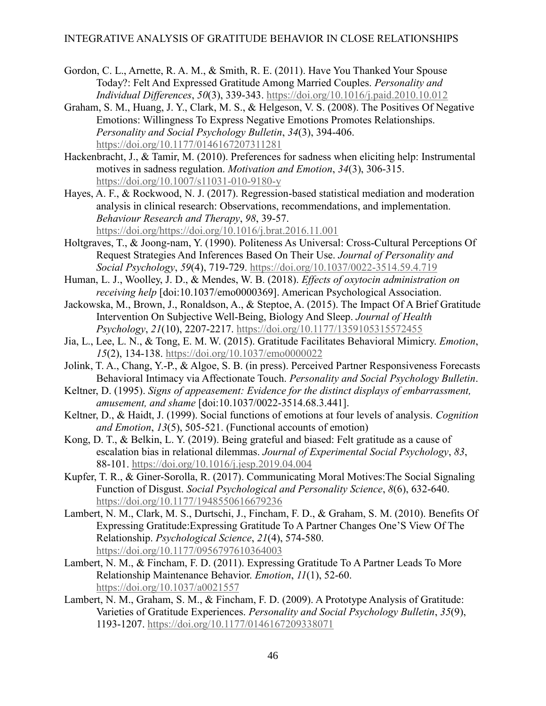- Gordon, C. L., Arnette, R. A. M., & Smith, R. E. (2011). Have You Thanked Your Spouse Today?: Felt And Expressed Gratitude Among Married Couples. *Personality and Individual Differences*, *50*(3), 339-343.<https://doi.org/10.1016/j.paid.2010.10.012>
- Graham, S. M., Huang, J. Y., Clark, M. S., & Helgeson, V. S. (2008). The Positives Of Negative Emotions: Willingness To Express Negative Emotions Promotes Relationships. *Personality and Social Psychology Bulletin*, *34*(3), 394-406. <https://doi.org/10.1177/0146167207311281>
- Hackenbracht, J., & Tamir, M. (2010). Preferences for sadness when eliciting help: Instrumental motives in sadness regulation. *Motivation and Emotion*, *34*(3), 306-315. <https://doi.org/10.1007/s11031-010-9180-y>
- Hayes, A. F., & Rockwood, N. J. (2017). Regression-based statistical mediation and moderation analysis in clinical research: Observations, recommendations, and implementation. *Behaviour Research and Therapy*, *98*, 39-57. [https://doi.org/https://doi.org/10.1016/j.brat.2016.11.001](https://doi.org/https:/doi.org/10.1016/j.brat.2016.11.001)
- Holtgraves, T., & Joong-nam, Y. (1990). Politeness As Universal: Cross-Cultural Perceptions Of Request Strategies And Inferences Based On Their Use. *Journal of Personality and Social Psychology*, *59*(4), 719-729.<https://doi.org/10.1037/0022-3514.59.4.719>
- Human, L. J., Woolley, J. D., & Mendes, W. B. (2018). *Effects of oxytocin administration on receiving help* [doi:10.1037/emo0000369]. American Psychological Association.
- Jackowska, M., Brown, J., Ronaldson, A., & Steptoe, A. (2015). The Impact Of A Brief Gratitude Intervention On Subjective Well-Being, Biology And Sleep. *Journal of Health Psychology*, *21*(10), 2207-2217.<https://doi.org/10.1177/1359105315572455>
- Jia, L., Lee, L. N., & Tong, E. M. W. (2015). Gratitude Facilitates Behavioral Mimicry. *Emotion*, *15*(2), 134-138.<https://doi.org/10.1037/emo0000022>
- Jolink, T. A., Chang, Y.-P., & Algoe, S. B. (in press). Perceived Partner Responsiveness Forecasts Behavioral Intimacy via Affectionate Touch. *Personality and Social Psychology Bulletin*.
- Keltner, D. (1995). *Signs of appeasement: Evidence for the distinct displays of embarrassment, amusement, and shame* [doi:10.1037/0022-3514.68.3.441].
- Keltner, D., & Haidt, J. (1999). Social functions of emotions at four levels of analysis. *Cognition and Emotion*, *13*(5), 505-521. (Functional accounts of emotion)
- Kong, D. T., & Belkin, L. Y. (2019). Being grateful and biased: Felt gratitude as a cause of escalation bias in relational dilemmas. *Journal of Experimental Social Psychology*, *83*, 88-101.<https://doi.org/10.1016/j.jesp.2019.04.004>
- Kupfer, T. R., & Giner-Sorolla, R. (2017). Communicating Moral Motives:The Social Signaling Function of Disgust. *Social Psychological and Personality Science*, *8*(6), 632-640. <https://doi.org/10.1177/1948550616679236>
- Lambert, N. M., Clark, M. S., Durtschi, J., Fincham, F. D., & Graham, S. M. (2010). Benefits Of Expressing Gratitude:Expressing Gratitude To A Partner Changes One'S View Of The Relationship. *Psychological Science*, *21*(4), 574-580. <https://doi.org/10.1177/0956797610364003>
- Lambert, N. M., & Fincham, F. D. (2011). Expressing Gratitude To A Partner Leads To More Relationship Maintenance Behavior. *Emotion*, *11*(1), 52-60. <https://doi.org/10.1037/a0021557>
- Lambert, N. M., Graham, S. M., & Fincham, F. D. (2009). A Prototype Analysis of Gratitude: Varieties of Gratitude Experiences. *Personality and Social Psychology Bulletin*, *35*(9), 1193-1207.<https://doi.org/10.1177/0146167209338071>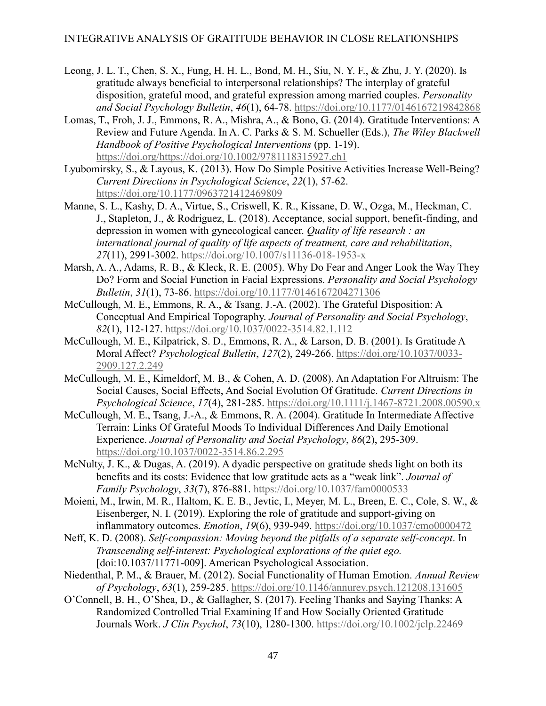- Leong, J. L. T., Chen, S. X., Fung, H. H. L., Bond, M. H., Siu, N. Y. F., & Zhu, J. Y. (2020). Is gratitude always beneficial to interpersonal relationships? The interplay of grateful disposition, grateful mood, and grateful expression among married couples. *Personality and Social Psychology Bulletin*, *46*(1), 64-78.<https://doi.org/10.1177/0146167219842868>
- Lomas, T., Froh, J. J., Emmons, R. A., Mishra, A., & Bono, G. (2014). Gratitude Interventions: A Review and Future Agenda. In A. C. Parks & S. M. Schueller (Eds.), *The Wiley Blackwell Handbook of Positive Psychological Interventions* (pp. 1-19). [https://doi.org/https://doi.org/10.1002/9781118315927.ch1](https://doi.org/https:/doi.org/10.1002/9781118315927.ch1)
- Lyubomirsky, S., & Layous, K. (2013). How Do Simple Positive Activities Increase Well-Being? *Current Directions in Psychological Science*, *22*(1), 57-62. <https://doi.org/10.1177/0963721412469809>
- Manne, S. L., Kashy, D. A., Virtue, S., Criswell, K. R., Kissane, D. W., Ozga, M., Heckman, C. J., Stapleton, J., & Rodriguez, L. (2018). Acceptance, social support, benefit-finding, and depression in women with gynecological cancer. *Quality of life research : an international journal of quality of life aspects of treatment, care and rehabilitation*, *27*(11), 2991-3002.<https://doi.org/10.1007/s11136-018-1953-x>
- Marsh, A. A., Adams, R. B., & Kleck, R. E. (2005). Why Do Fear and Anger Look the Way They Do? Form and Social Function in Facial Expressions. *Personality and Social Psychology Bulletin*, *31*(1), 73-86.<https://doi.org/10.1177/0146167204271306>
- McCullough, M. E., Emmons, R. A., & Tsang, J.-A. (2002). The Grateful Disposition: A Conceptual And Empirical Topography. *Journal of Personality and Social Psychology*, *82*(1), 112-127.<https://doi.org/10.1037/0022-3514.82.1.112>
- McCullough, M. E., Kilpatrick, S. D., Emmons, R. A., & Larson, D. B. (2001). Is Gratitude A Moral Affect? *Psychological Bulletin*, *127*(2), 249-266. [https://doi.org/10.1037/0033-](https://doi.org/10.1037/0033-2909.127.2.249) [2909.127.2.249](https://doi.org/10.1037/0033-2909.127.2.249)
- McCullough, M. E., Kimeldorf, M. B., & Cohen, A. D. (2008). An Adaptation For Altruism: The Social Causes, Social Effects, And Social Evolution Of Gratitude. *Current Directions in Psychological Science*, *17*(4), 281-285.<https://doi.org/10.1111/j.1467-8721.2008.00590.x>
- McCullough, M. E., Tsang, J.-A., & Emmons, R. A. (2004). Gratitude In Intermediate Affective Terrain: Links Of Grateful Moods To Individual Differences And Daily Emotional Experience. *Journal of Personality and Social Psychology*, *86*(2), 295-309. <https://doi.org/10.1037/0022-3514.86.2.295>
- McNulty, J. K., & Dugas, A. (2019). A dyadic perspective on gratitude sheds light on both its benefits and its costs: Evidence that low gratitude acts as a "weak link". *Journal of Family Psychology*, *33*(7), 876-881.<https://doi.org/10.1037/fam0000533>
- Moieni, M., Irwin, M. R., Haltom, K. E. B., Jevtic, I., Meyer, M. L., Breen, E. C., Cole, S. W., & Eisenberger, N. I. (2019). Exploring the role of gratitude and support-giving on inflammatory outcomes. *Emotion*, *19*(6), 939-949.<https://doi.org/10.1037/emo0000472>
- Neff, K. D. (2008). *Self-compassion: Moving beyond the pitfalls of a separate self-concept*. In *Transcending self-interest: Psychological explorations of the quiet ego.* [doi:10.1037/11771-009]. American Psychological Association.
- Niedenthal, P. M., & Brauer, M. (2012). Social Functionality of Human Emotion. *Annual Review of Psychology*, *63*(1), 259-285.<https://doi.org/10.1146/annurev.psych.121208.131605>
- O'Connell, B. H., O'Shea, D., & Gallagher, S. (2017). Feeling Thanks and Saying Thanks: A Randomized Controlled Trial Examining If and How Socially Oriented Gratitude Journals Work. *J Clin Psychol*, *73*(10), 1280-1300.<https://doi.org/10.1002/jclp.22469>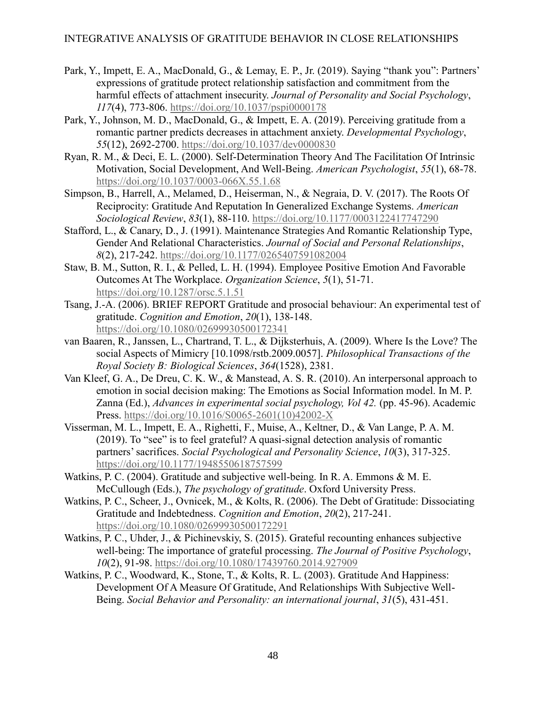- Park, Y., Impett, E. A., MacDonald, G., & Lemay, E. P., Jr. (2019). Saying "thank you": Partners' expressions of gratitude protect relationship satisfaction and commitment from the harmful effects of attachment insecurity. *Journal of Personality and Social Psychology*, *117*(4), 773-806.<https://doi.org/10.1037/pspi0000178>
- Park, Y., Johnson, M. D., MacDonald, G., & Impett, E. A. (2019). Perceiving gratitude from a romantic partner predicts decreases in attachment anxiety. *Developmental Psychology*, *55*(12), 2692-2700.<https://doi.org/10.1037/dev0000830>
- Ryan, R. M., & Deci, E. L. (2000). Self-Determination Theory And The Facilitation Of Intrinsic Motivation, Social Development, And Well-Being. *American Psychologist*, *55*(1), 68-78. <https://doi.org/10.1037/0003-066X.55.1.68>
- Simpson, B., Harrell, A., Melamed, D., Heiserman, N., & Negraia, D. V. (2017). The Roots Of Reciprocity: Gratitude And Reputation In Generalized Exchange Systems. *American Sociological Review*, *83*(1), 88-110.<https://doi.org/10.1177/0003122417747290>
- Stafford, L., & Canary, D., J. (1991). Maintenance Strategies And Romantic Relationship Type, Gender And Relational Characteristics. *Journal of Social and Personal Relationships*, *8*(2), 217-242.<https://doi.org/10.1177/0265407591082004>
- Staw, B. M., Sutton, R. I., & Pelled, L. H. (1994). Employee Positive Emotion And Favorable Outcomes At The Workplace. *Organization Science*, *5*(1), 51-71. <https://doi.org/10.1287/orsc.5.1.51>
- Tsang, J.-A. (2006). BRIEF REPORT Gratitude and prosocial behaviour: An experimental test of gratitude. *Cognition and Emotion*, *20*(1), 138-148. <https://doi.org/10.1080/02699930500172341>
- van Baaren, R., Janssen, L., Chartrand, T. L., & Dijksterhuis, A. (2009). Where Is the Love? The social Aspects of Mimicry [10.1098/rstb.2009.0057]. *Philosophical Transactions of the Royal Society B: Biological Sciences*, *364*(1528), 2381.
- Van Kleef, G. A., De Dreu, C. K. W., & Manstead, A. S. R. (2010). An interpersonal approach to emotion in social decision making: The Emotions as Social Information model. In M. P. Zanna (Ed.), *Advances in experimental social psychology, Vol 42.* (pp. 45-96). Academic Press. [https://doi.org/10.1016/S0065-2601\(10\)42002-X](https://doi.org/10.1016/S0065-2601(10)42002-X)
- Visserman, M. L., Impett, E. A., Righetti, F., Muise, A., Keltner, D., & Van Lange, P. A. M. (2019). To "see" is to feel grateful? A quasi-signal detection analysis of romantic partners' sacrifices. *Social Psychological and Personality Science*, *10*(3), 317-325. <https://doi.org/10.1177/1948550618757599>
- Watkins, P. C. (2004). Gratitude and subjective well-being. In R. A. Emmons & M. E. McCullough (Eds.), *The psychology of gratitude*. Oxford University Press.
- Watkins, P. C., Scheer, J., Ovnicek, M., & Kolts, R. (2006). The Debt of Gratitude: Dissociating Gratitude and Indebtedness. *Cognition and Emotion*, *20*(2), 217-241. <https://doi.org/10.1080/02699930500172291>
- Watkins, P. C., Uhder, J., & Pichinevskiy, S. (2015). Grateful recounting enhances subjective well-being: The importance of grateful processing. *The Journal of Positive Psychology*, *10*(2), 91-98.<https://doi.org/10.1080/17439760.2014.927909>
- Watkins, P. C., Woodward, K., Stone, T., & Kolts, R. L. (2003). Gratitude And Happiness: Development Of A Measure Of Gratitude, And Relationships With Subjective Well-Being. *Social Behavior and Personality: an international journal*, *31*(5), 431-451.